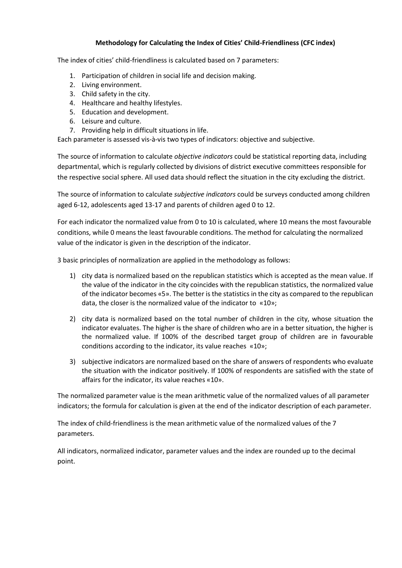### **Methodology for Calculating the Index of Cities' Child-Friendliness (СFС index)**

The index of cities' child-friendliness is calculated based on 7 parameters:

- 1. Participation of children in social life and decision making.
- 2. Living environment.
- 3. Child safety in the city.
- 4. Healthcare and healthy lifestyles.
- 5. Education and development.
- 6. Leisure and culture.
- 7. Providing help in difficult situations in life.

Each parameter is assessed vis-à-vis two types of indicators: objective and subjective.

The source of information to calculate *objective indicators* could be statistical reporting data, including departmental, which is regularly collected by divisions of district executive committees responsible for the respective social sphere. All used data should reflect the situation in the city excluding the district.

The source of information to calculate *subjective indicators* could be surveys conducted among children aged 6-12, adolescents aged 13-17 and parents of children aged 0 to 12.

For each indicator the normalized value from 0 to 10 is calculated, where 10 means the most favourable conditions, while 0 means the least favourable conditions. The method for calculating the normalized value of the indicator is given in the description of the indicator.

3 basic principles of normalization are applied in the methodology as follows:

- 1) city data is normalized based on the republican statistics which is accepted as the mean value. If the value of the indicator in the city coincides with the republican statistics, the normalized value of the indicator becomes «5». The better is the statistics in the city as compared to the republican data, the closer is the normalized value of the indicator to «10»;
- 2) city data is normalized based on the total number of children in the city, whose situation the indicator evaluates. The higher is the share of children who are in a better situation, the higher is the normalized value. If 100% of the described target group of children are in favourable conditions according to the indicator, its value reaches «10»;
- 3) subjective indicators are normalized based on the share of answers of respondents who evaluate the situation with the indicator positively. If 100% of respondents are satisfied with the state of affairs for the indicator, its value reaches «10».

The normalized parameter value is the mean arithmetic value of the normalized values of all parameter indicators; the formula for calculation is given at the end of the indicator description of each parameter.

The index of child-friendliness is the mean arithmetic value of the normalized values of the 7 parameters.

All indicators, normalized indicator, parameter values and the index are rounded up to the decimal point.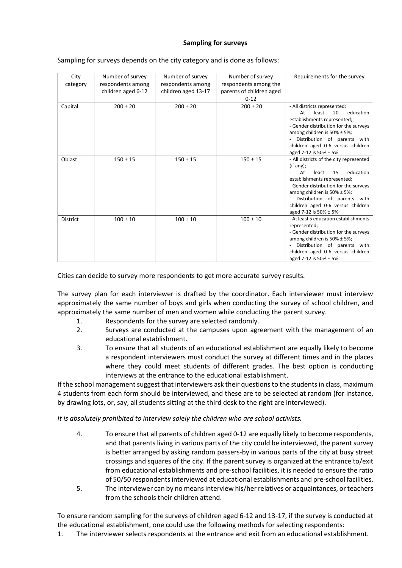### **Sampling for surveys**

| City            | Number of survey   | Number of survey    | Number of survey         | Requirements for the survey                                                                                                                                                                                                                                                                        |
|-----------------|--------------------|---------------------|--------------------------|----------------------------------------------------------------------------------------------------------------------------------------------------------------------------------------------------------------------------------------------------------------------------------------------------|
| category        | respondents among  | respondents among   | respondents among the    |                                                                                                                                                                                                                                                                                                    |
|                 | children aged 6-12 | children aged 13-17 | parents of children aged |                                                                                                                                                                                                                                                                                                    |
|                 |                    |                     | $0 - 12$                 |                                                                                                                                                                                                                                                                                                    |
| Capital         | $200 \pm 20$       | $200 \pm 20$        | $200 \pm 20$             | - All districts represented;<br>least<br>20<br>education<br>At<br>establishments represented;<br>- Gender distribution for the surveys<br>among children is 50% ± 5%;<br>Distribution of parents with<br>children aged 0-6 versus children<br>aged 7-12 is 50% ± 5%                                |
| Oblast          | $150 \pm 15$       | $150 \pm 15$        | $150 \pm 15$             | - All districts of the city represented<br>(if any):<br>education<br>least<br>15<br>At<br>establishments represented;<br>- Gender distribution for the surveys<br>among children is $50\% \pm 5\%$ ;<br>Distribution of parents with<br>children aged 0-6 versus children<br>aged 7-12 is 50% ± 5% |
| <b>District</b> | $100 \pm 10$       | $100 \pm 10$        | $100 \pm 10$             | - At least 5 education establishments<br>represented;<br>- Gender distribution for the surveys<br>among children is 50% ± 5%;<br>Distribution of parents with<br>children aged 0-6 versus children<br>aged 7-12 is 50% ± 5%                                                                        |

#### Sampling for surveys depends on the city category and is done as follows:

Cities can decide to survey more respondents to get more accurate survey results.

The survey plan for each interviewer is drafted by the coordinator. Each interviewer must interview approximately the same number of boys and girls when conducting the survey of school children, and approximately the same number of men and women while conducting the parent survey.

- 1. Respondents for the survey are selected randomly.
- 2. Surveys are conducted at the campuses upon agreement with the management of an educational establishment.
- 3. To ensure that all students of an educational establishment are equally likely to become a respondent interviewers must conduct the survey at different times and in the places where they could meet students of different grades. The best option is conducting interviews at the entrance to the educational establishment.

If the school management suggest that interviewers ask their questions to the students in class, maximum 4 students from each form should be interviewed, and these are to be selected at random (for instance, by drawing lots, or, say, all students sitting at the third desk to the right are interviewed).

*It is absolutely prohibited to interview solely the children who are school activists.*

- 4. To ensure that all parents of children aged 0-12 are equally likely to become respondents, and that parents living in various parts of the city could be interviewed, the parent survey is better arranged by asking random passers-by in various parts of the city at busy street crossings and squares of the city. If the parent survey is organized at the entrance to/exit from educational establishments and pre-school facilities, it is needed to ensure the ratio of 50/50 respondentsinterviewed at educational establishments and pre-school facilities.
- 5. The interviewer can by no means interview his/her relatives or acquaintances, or teachers from the schools their children attend.

To ensure random sampling for the surveys of children aged 6-12 and 13-17, if the survey is conducted at the educational establishment, one could use the following methods for selecting respondents:

1. The interviewer selects respondents at the entrance and exit from an educational establishment.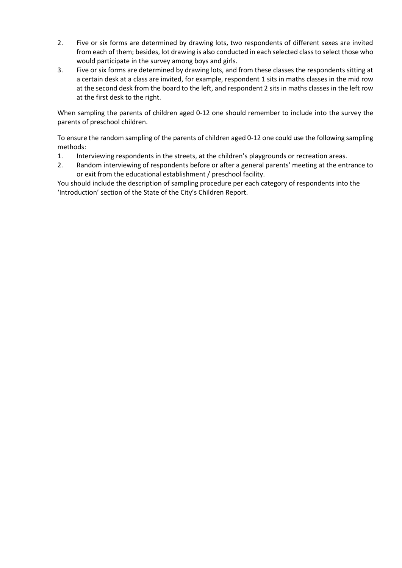- 2. Five or six forms are determined by drawing lots, two respondents of different sexes are invited from each of them; besides, lot drawing is also conducted in each selected class to select those who would participate in the survey among boys and girls.
- 3. Five or six forms are determined by drawing lots, and from these classes the respondents sitting at a certain desk at a class are invited, for example, respondent 1 sits in maths classes in the mid row at the second desk from the board to the left, and respondent 2 sits in maths classes in the left row at the first desk to the right.

When sampling the parents of children aged 0-12 one should remember to include into the survey the parents of preschool children.

To ensure the random sampling of the parents of children aged 0-12 one could use the following sampling methods:

- 1. Interviewing respondents in the streets, at the children's playgrounds or recreation areas.
- 2. Random interviewing of respondents before or after a general parents' meeting at the entrance to or exit from the educational establishment / preschool facility.

You should include the description of sampling procedure per each category of respondents into the 'Introduction' section of the State of the City's Children Report.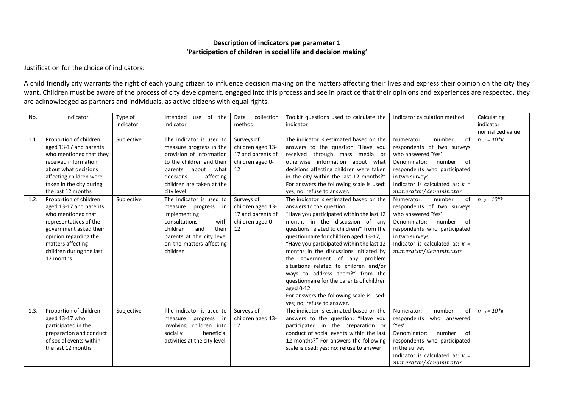#### **Description of indicators per parameter 1 'Participation of children in social life and decision making'**

Justification for the choice of indicators:

A child friendly city warrants the right of each young citizen to influence decision making on the matters affecting their lives and express their opinion on the city they want. Children must be aware of the process of city development, engaged into this process and see in practice that their opinions and experiences are respected, they are acknowledged as partners and individuals, as active citizens with equal rights.

| No.  | Indicator                | Type of    | Intended use of the          | collection<br>Data | Toolkit questions used to calculate the   | Indicator calculation method      | Calculating       |
|------|--------------------------|------------|------------------------------|--------------------|-------------------------------------------|-----------------------------------|-------------------|
|      |                          | indicator  | indicator                    | method             | indicator                                 |                                   | indicator         |
|      |                          |            |                              |                    |                                           |                                   | normalized value  |
| 1.1. | Proportion of children   | Subjective | The indicator is used to     | Surveys of         | The indicator is estimated based on the   | number<br>of<br>Numerator:        | $n_{1,1} = 10*k$  |
|      | aged 13-17 and parents   |            | measure progress in the      | children aged 13-  | answers to the question "Have you         | respondents of two surveys        |                   |
|      | who mentioned that they  |            | provision of information     | 17 and parents of  | received through mass media or            | who answered 'Yes'                |                   |
|      | received information     |            | to the children and their    | children aged 0-   | otherwise information about what          | Denominator:<br>number<br>of      |                   |
|      | about what decisions     |            | parents about what           | 12                 | decisions affecting children were taken   | respondents who participated      |                   |
|      | affecting children were  |            | decisions<br>affecting       |                    | in the city within the last 12 months?"   | in two surveys                    |                   |
|      | taken in the city during |            | children are taken at the    |                    | For answers the following scale is used:  | Indicator is calculated as: $k =$ |                   |
|      | the last 12 months       |            | city level                   |                    | yes; no; refuse to answer.                | numerator/denominator             |                   |
| 1.2. | Proportion of children   | Subjective | The indicator is used to     | Surveys of         | The indicator is estimated based on the   | Numerator:<br>number<br>of        | $n_{1,2} = 10$ *k |
|      | aged 13-17 and parents   |            | measure progress<br>in       | children aged 13-  | answers to the question:                  | respondents of two surveys        |                   |
|      | who mentioned that       |            | implementing                 | 17 and parents of  | "Have you participated within the last 12 | who answered 'Yes'                |                   |
|      | representatives of the   |            | consultations<br>with        | children aged 0-   | months in the discussion of any           | Denominator:<br>number<br>- of    |                   |
|      | government asked their   |            | children<br>and<br>their     | 12                 | questions related to children?" from the  | respondents who participated      |                   |
|      | opinion regarding the    |            | parents at the city level    |                    | questionnaire for children aged 13-17;    | in two surveys                    |                   |
|      | matters affecting        |            | on the matters affecting     |                    | "Have you participated within the last 12 | Indicator is calculated as: $k =$ |                   |
|      | children during the last |            | children                     |                    | months in the discussions initiated by    | numerator/denominator             |                   |
|      | 12 months                |            |                              |                    | the government of any problem             |                                   |                   |
|      |                          |            |                              |                    | situations related to children and/or     |                                   |                   |
|      |                          |            |                              |                    | ways to address them?" from the           |                                   |                   |
|      |                          |            |                              |                    | questionnaire for the parents of children |                                   |                   |
|      |                          |            |                              |                    | aged 0-12.                                |                                   |                   |
|      |                          |            |                              |                    | For answers the following scale is used:  |                                   |                   |
|      |                          |            |                              |                    | yes; no; refuse to answer.                |                                   |                   |
| 1.3. | Proportion of children   | Subjective | The indicator is used to     | Surveys of         | The indicator is estimated based on the   | number<br>Numerator:<br>of        | $n_{1,3} = 10*k$  |
|      | aged 13-17 who           |            | progress<br>measure<br>in    | children aged 13-  | answers to the question: "Have you        | respondents who answered          |                   |
|      | participated in the      |            | involving children into      | 17                 | participated in the preparation or        | 'Yes'                             |                   |
|      | preparation and conduct  |            | socially<br>beneficial       |                    | conduct of social events within the last  | Denominator:<br>number<br>- of    |                   |
|      | of social events within  |            | activities at the city level |                    | 12 months?" For answers the following     | respondents who participated      |                   |
|      | the last 12 months       |            |                              |                    | scale is used: yes; no; refuse to answer. | in the survey                     |                   |
|      |                          |            |                              |                    |                                           | Indicator is calculated as: $k =$ |                   |
|      |                          |            |                              |                    |                                           | numerator/denominator             |                   |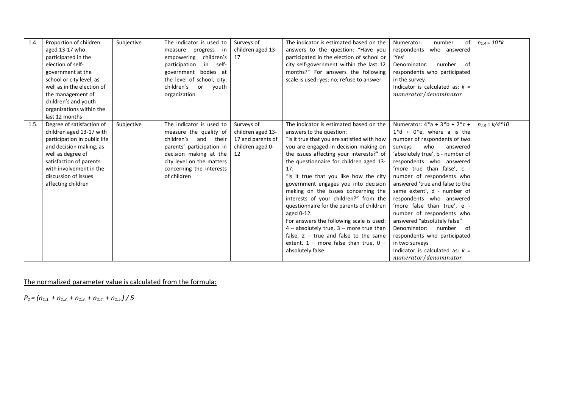| 1.4. | Proportion of children       | Subjective | The indicator is used to   | Surveys of        | The indicator is estimated based on the     | number<br>of<br>Numerator:        | $n_{1.4} = 10$ *k  |
|------|------------------------------|------------|----------------------------|-------------------|---------------------------------------------|-----------------------------------|--------------------|
|      | aged 13-17 who               |            | measure progress in        | children aged 13- | answers to the question: "Have you          | respondents<br>who answered       |                    |
|      | participated in the          |            | children's<br>empowering   | 17                | participated in the election of school or   | 'Yes'                             |                    |
|      | election of self-            |            | participation<br>in self-  |                   | city self-government within the last 12     | number<br>Denominator:<br>- of    |                    |
|      | government at the            |            | government bodies at       |                   | months?" For answers the following          | respondents who participated      |                    |
|      | school or city level, as     |            | the level of school, city, |                   | scale is used: yes; no; refuse to answer    | in the survey                     |                    |
|      | well as in the election of   |            | children's or<br>youth     |                   |                                             | Indicator is calculated as: $k =$ |                    |
|      | the management of            |            | organization               |                   |                                             | numerator/denominator             |                    |
|      | children's and youth         |            |                            |                   |                                             |                                   |                    |
|      | organizations within the     |            |                            |                   |                                             |                                   |                    |
|      | last 12 months               |            |                            |                   |                                             |                                   |                    |
| 1.5. | Degree of satisfaction of    | Subjective | The indicator is used to   | Surveys of        | The indicator is estimated based on the     | Numerator: $4^*a + 3^*b + 2^*c +$ | $n_{1.5} = k/4*10$ |
|      | children aged 13-17 with     |            | measure the quality of     | children aged 13- | answers to the question:                    | $1 * d + 0 * e$ , where a is the  |                    |
|      | participation in public life |            | children's and their       | 17 and parents of | "Is it true that you are satisfied with how | number of respondents of two      |                    |
|      | and decision making, as      |            | parents' participation in  | children aged 0-  | you are engaged in decision making on       | who<br>surveys<br>answered        |                    |
|      | well as degree of            |            | decision making at the     | 12                | the issues affecting your interests?" of    | 'absolutely true', b - number of  |                    |
|      | satisfaction of parents      |            | city level on the matters  |                   | the questionnaire for children aged 13-     | respondents who answered          |                    |
|      | with involvement in the      |            | concerning the interests   |                   | 17;                                         | 'more true than false', c -       |                    |
|      | discussion of issues         |            | of children                |                   | "Is it true that you like how the city      | number of respondents who         |                    |
|      | affecting children           |            |                            |                   | government engages you into decision        | answered 'true and false to the   |                    |
|      |                              |            |                            |                   | making on the issues concerning the         | same extent', d - number of       |                    |
|      |                              |            |                            |                   | interests of your children?" from the       | respondents who answered          |                    |
|      |                              |            |                            |                   | questionnaire for the parents of children   | 'more false than true', e -       |                    |
|      |                              |            |                            |                   | aged 0-12.                                  | number of respondents who         |                    |
|      |                              |            |                            |                   | For answers the following scale is used:    | answered "absolutely false"       |                    |
|      |                              |            |                            |                   | $4$ – absolutely true, $3$ – more true than | Denominator: number<br>of         |                    |
|      |                              |            |                            |                   | false, $2 - true$ and false to the same     | respondents who participated      |                    |
|      |                              |            |                            |                   | extent, $1$ – more false than true, $0$ –   | in two surveys                    |                    |
|      |                              |            |                            |                   | absolutely false                            | Indicator is calculated as: $k =$ |                    |
|      |                              |            |                            |                   |                                             | numerator/denominator             |                    |

*P1 = (n1.1. + n1.2. + n1.3. + n1.4. + n1.5.) / 5*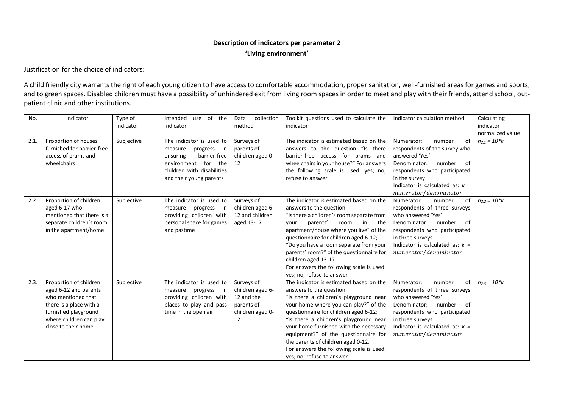### **Description of indicators per parameter 2 'Living environment'**

Justification for the choice of indicators:

A child friendly city warrants the right of each young citizen to have access to comfortable accommodation, proper sanitation, well-furnished areas for games and sports, and to green spaces. Disabled children must have a possibility of unhindered exit from living room spaces in order to meet and play with their friends, attend school, outpatient clinic and other institutions.

| No.  | Indicator                  | Type of    | of the<br>Intended<br>use   | Data<br>collection | Toolkit questions used to calculate the   | Indicator calculation method      | Calculating          |
|------|----------------------------|------------|-----------------------------|--------------------|-------------------------------------------|-----------------------------------|----------------------|
|      |                            | indicator  | indicator                   | method             | indicator                                 |                                   | indicator            |
|      |                            |            |                             |                    |                                           |                                   | normalized value     |
| 2.1. | Proportion of houses       | Subjective | The indicator is used to    | Surveys of         | The indicator is estimated based on the   | number<br>Numerator:<br>οf        | $n_{2,1} = 10$ *k    |
|      | furnished for barrier-free |            | progress in<br>measure      | parents of         | answers to the question "Is there         | respondents of the survey who     |                      |
|      | access of prams and        |            | barrier-free<br>ensuring    | children aged 0-   | barrier-free access for prams and         | answered 'Yes'                    |                      |
|      | wheelchairs                |            | environment for<br>the      | 12                 | wheelchairs in your house?" For answers   | Denominator:<br>number<br>of      |                      |
|      |                            |            | children with disabilities  |                    | the following scale is used: yes; no;     | respondents who participated      |                      |
|      |                            |            | and their young parents     |                    | refuse to answer                          | in the survey                     |                      |
|      |                            |            |                             |                    |                                           | Indicator is calculated as: $k =$ |                      |
|      |                            |            |                             |                    |                                           | numerator/denominator             |                      |
| 2.2. | Proportion of children     | Subjective | The indicator is used to    | Surveys of         | The indicator is estimated based on the   | Numerator:<br>number<br>of        | $n_{2,2} = 10*k$     |
|      | aged 6-17 who              |            | progress<br>measure<br>in – | children aged 6-   | answers to the question:                  | respondents of three surveys      |                      |
|      | mentioned that there is a  |            | providing children with     | 12 and children    | "Is there a children's room separate from | who answered 'Yes'                |                      |
|      | separate children's room   |            | personal space for games    | aged 13-17         | parents'<br>in<br>room<br>the<br>your     | Denominator:<br>number<br>of      |                      |
|      | in the apartment/home      |            | and pastime                 |                    | apartment/house where you live" of the    | respondents who participated      |                      |
|      |                            |            |                             |                    | questionnaire for children aged 6-12;     | in three surveys                  |                      |
|      |                            |            |                             |                    | "Do you have a room separate from your    | Indicator is calculated as: $k =$ |                      |
|      |                            |            |                             |                    | parents' room?" of the questionnaire for  | numerator/denominator             |                      |
|      |                            |            |                             |                    | children aged 13-17.                      |                                   |                      |
|      |                            |            |                             |                    | For answers the following scale is used:  |                                   |                      |
|      |                            |            |                             |                    | yes; no; refuse to answer                 |                                   |                      |
| 2.3. | Proportion of children     | Subjective | The indicator is used to    | Surveys of         | The indicator is estimated based on the   | number<br>of<br>Numerator:        | $n_{2.3} = 10$ * $k$ |
|      | aged 6-12 and parents      |            | progress in<br>measure      | children aged 6-   | answers to the question:                  | respondents of three surveys      |                      |
|      | who mentioned that         |            | providing children with     | 12 and the         | "Is there a children's playground near    | who answered 'Yes'                |                      |
|      | there is a place with a    |            | places to play and pass     | parents of         | your home where you can play?" of the     | Denominator:<br>number<br>of      |                      |
|      | furnished playground       |            | time in the open air        | children aged 0-   | questionnaire for children aged 6-12;     | respondents who participated      |                      |
|      | where children can play    |            |                             | 12                 | "Is there a children's playground near    | in three surveys                  |                      |
|      | close to their home        |            |                             |                    | your home furnished with the necessary    | Indicator is calculated as: $k =$ |                      |
|      |                            |            |                             |                    | equipment?" of the questionnaire for      | numerator/denominator             |                      |
|      |                            |            |                             |                    | the parents of children aged 0-12.        |                                   |                      |
|      |                            |            |                             |                    | For answers the following scale is used:  |                                   |                      |
|      |                            |            |                             |                    | yes; no; refuse to answer                 |                                   |                      |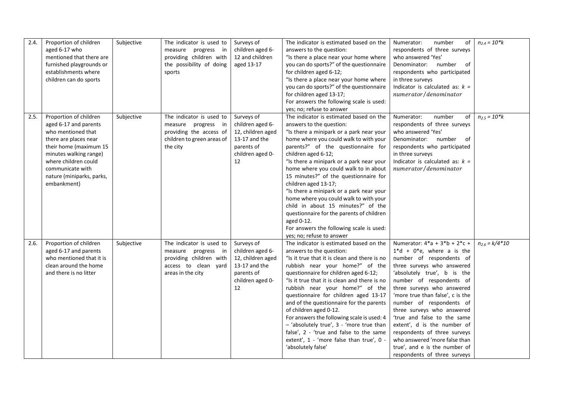| 2.4. | Proportion of children    | Subjective | The indicator is used to   | Surveys of        | The indicator is estimated based on the      | number<br>Numerator:<br>of        | $n_{2.4} = 10* k$            |
|------|---------------------------|------------|----------------------------|-------------------|----------------------------------------------|-----------------------------------|------------------------------|
|      | aged 6-17 who             |            | measure progress in        | children aged 6-  | answers to the question:                     | respondents of three surveys      |                              |
|      | mentioned that there are  |            | providing children with    | 12 and children   | "Is there a place near your home where       | who answered 'Yes'                |                              |
|      | furnished playgrounds or  |            | the possibility of doing   | aged 13-17        | you can do sports?" of the questionnaire     | number<br>Denominator:<br>of      |                              |
|      | establishments where      |            | sports                     |                   | for children aged 6-12;                      | respondents who participated      |                              |
|      | children can do sports    |            |                            |                   | "Is there a place near your home where       | in three surveys                  |                              |
|      |                           |            |                            |                   | you can do sports?" of the questionnaire     | Indicator is calculated as: $k =$ |                              |
|      |                           |            |                            |                   | for children aged 13-17;                     | numerator/denominator             |                              |
|      |                           |            |                            |                   | For answers the following scale is used:     |                                   |                              |
|      |                           |            |                            |                   | yes; no; refuse to answer                    |                                   |                              |
| 2.5. | Proportion of children    | Subjective | The indicator is used to   | Surveys of        | The indicator is estimated based on the      | Numerator:<br>number<br>of        | $n_{2.5} = 10* k$            |
|      | aged 6-17 and parents     |            | measure progress in        | children aged 6-  | answers to the question:                     | respondents of three surveys      |                              |
|      | who mentioned that        |            | providing the access of    | 12, children aged | "Is there a minipark or a park near your     | who answered 'Yes'                |                              |
|      | there are places near     |            | children to green areas of | 13-17 and the     | home where you could walk to with your       | Denominator: number<br>of         |                              |
|      | their home (maximum 15    |            | the city                   | parents of        | parents?" of the questionnaire for           | respondents who participated      |                              |
|      | minutes walking range)    |            |                            | children aged 0-  | children aged 6-12;                          | in three surveys                  |                              |
|      | where children could      |            |                            | 12                | "Is there a minipark or a park near your     | Indicator is calculated as: $k =$ |                              |
|      | communicate with          |            |                            |                   | home where you could walk to in about        | numerator/denominator             |                              |
|      | nature (miniparks, parks, |            |                            |                   | 15 minutes?" of the questionnaire for        |                                   |                              |
|      | embankment)               |            |                            |                   | children aged 13-17;                         |                                   |                              |
|      |                           |            |                            |                   | "Is there a minipark or a park near your     |                                   |                              |
|      |                           |            |                            |                   | home where you could walk to with your       |                                   |                              |
|      |                           |            |                            |                   | child in about 15 minutes?" of the           |                                   |                              |
|      |                           |            |                            |                   | questionnaire for the parents of children    |                                   |                              |
|      |                           |            |                            |                   | aged 0-12.                                   |                                   |                              |
|      |                           |            |                            |                   | For answers the following scale is used:     |                                   |                              |
|      |                           |            |                            |                   | yes; no; refuse to answer                    |                                   |                              |
| 2.6. | Proportion of children    | Subjective | The indicator is used to   | Surveys of        | The indicator is estimated based on the      | Numerator: $4^*a + 3^*b + 2^*c +$ | $n_{2.6} = k/4 \sqrt[4]{10}$ |
|      | aged 6-17 and parents     |            | measure progress in        | children aged 6-  | answers to the question:                     | $1 * d + 0 * e$ , where a is the  |                              |
|      | who mentioned that it is  |            | providing children with    | 12, children aged | "Is it true that it is clean and there is no | number of respondents of          |                              |
|      | clean around the home     |            | access to clean yard       | 13-17 and the     | rubbish near your home?" of the              | three surveys who answered        |                              |
|      | and there is no litter    |            | areas in the city          | parents of        | questionnaire for children aged 6-12;        | 'absolutely true', b is the       |                              |
|      |                           |            |                            | children aged 0-  | "Is it true that it is clean and there is no | number of respondents of          |                              |
|      |                           |            |                            | 12                | rubbish near your home?" of the              | three surveys who answered        |                              |
|      |                           |            |                            |                   | questionnaire for children aged 13-17        | 'more true than false', c is the  |                              |
|      |                           |            |                            |                   | and of the questionnaire for the parents     | number of respondents of          |                              |
|      |                           |            |                            |                   | of children aged 0-12.                       | three surveys who answered        |                              |
|      |                           |            |                            |                   | For answers the following scale is used: 4   | 'true and false to the same       |                              |
|      |                           |            |                            |                   | - 'absolutely true', 3 - 'more true than     | extent', d is the number of       |                              |
|      |                           |            |                            |                   | false', 2 - 'true and false to the same      | respondents of three surveys      |                              |
|      |                           |            |                            |                   | extent', 1 - 'more false than true', 0 -     | who answered 'more false than     |                              |
|      |                           |            |                            |                   | 'absolutely false'                           | true', and e is the number of     |                              |
|      |                           |            |                            |                   |                                              | respondents of three surveys      |                              |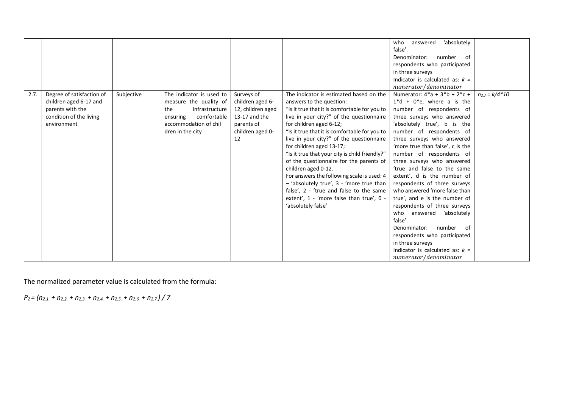|      |                           |            |                          |                   |                                                  | 'absolutely<br>who<br>answered    |                    |
|------|---------------------------|------------|--------------------------|-------------------|--------------------------------------------------|-----------------------------------|--------------------|
|      |                           |            |                          |                   |                                                  | false'.                           |                    |
|      |                           |            |                          |                   |                                                  | number of<br>Denominator:         |                    |
|      |                           |            |                          |                   |                                                  | respondents who participated      |                    |
|      |                           |            |                          |                   |                                                  | in three surveys                  |                    |
|      |                           |            |                          |                   |                                                  | Indicator is calculated as: $k =$ |                    |
|      |                           |            |                          |                   |                                                  | numerator/denominator             |                    |
| 2.7. | Degree of satisfaction of | Subjective | The indicator is used to | Surveys of        | The indicator is estimated based on the          | Numerator: $4^*a + 3^*b + 2^*c +$ | $n_{2.7} = k/4*10$ |
|      | children aged 6-17 and    |            | measure the quality of   | children aged 6-  | answers to the question:                         | $1 * d + 0 * e$ , where a is the  |                    |
|      | parents with the          |            | the<br>infrastructure    | 12, children aged | "Is it true that it is comfortable for you to    | number of respondents of          |                    |
|      | condition of the living   |            | comfortable<br>ensuring  | 13-17 and the     | live in your city?" of the questionnaire         | three surveys who answered        |                    |
|      | environment               |            | accommodation of chil    | parents of        | for children aged 6-12;                          | 'absolutely true', b is the       |                    |
|      |                           |            | dren in the city         | children aged 0-  | "Is it true that it is comfortable for you to    | number of respondents of          |                    |
|      |                           |            |                          | 12                | live in your city?" of the questionnaire         | three surveys who answered        |                    |
|      |                           |            |                          |                   | for children aged 13-17;                         | 'more true than false', c is the  |                    |
|      |                           |            |                          |                   | "Is it true that your city is child friendly?"   | number of respondents of          |                    |
|      |                           |            |                          |                   | of the questionnaire for the parents of          | three surveys who answered        |                    |
|      |                           |            |                          |                   | children aged 0-12.                              | 'true and false to the same       |                    |
|      |                           |            |                          |                   | For answers the following scale is used: 4       | extent', d is the number of       |                    |
|      |                           |            |                          |                   | - 'absolutely true', 3 - 'more true than         | respondents of three surveys      |                    |
|      |                           |            |                          |                   | false', 2 - 'true and false to the same          | who answered 'more false than     |                    |
|      |                           |            |                          |                   | extent', $1$ - 'more false than true', $0 \cdot$ | true', and e is the number of     |                    |
|      |                           |            |                          |                   | 'absolutely false'                               | respondents of three surveys      |                    |
|      |                           |            |                          |                   |                                                  | who answered 'absolutely          |                    |
|      |                           |            |                          |                   |                                                  | false'.                           |                    |
|      |                           |            |                          |                   |                                                  | number<br>Denominator:<br>- of    |                    |
|      |                           |            |                          |                   |                                                  | respondents who participated      |                    |
|      |                           |            |                          |                   |                                                  | in three surveys                  |                    |
|      |                           |            |                          |                   |                                                  | Indicator is calculated as: $k =$ |                    |
|      |                           |            |                          |                   |                                                  | numerator/denominator             |                    |

*P2 = (n2.1. + n2.2. + n2.3. + n2.4. + n2.5. + n2.6. + n2.7.) / 7*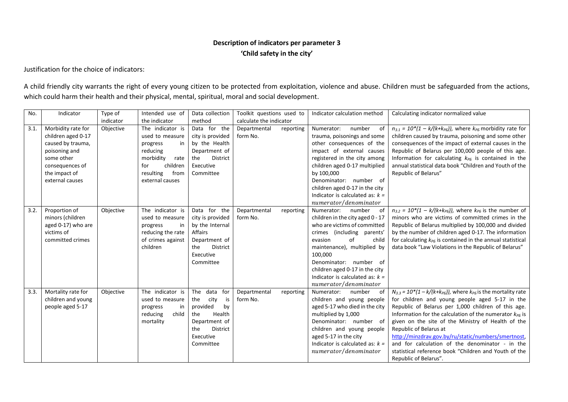# **Description of indicators per parameter 3 'Child safety in the city'**

Justification for the choice of indicators:

A child friendly city warrants the right of every young citizen to be protected from exploitation, violence and abuse. Children must be safeguarded from the actions, which could harm their health and their physical, mental, spiritual, moral and social development.

| No.  | Indicator                              | Type of   | Intended use of                     | Data collection                     | Toolkit questions used to |           | Indicator calculation method                                | Calculating indicator normalized value                                                                |
|------|----------------------------------------|-----------|-------------------------------------|-------------------------------------|---------------------------|-----------|-------------------------------------------------------------|-------------------------------------------------------------------------------------------------------|
|      |                                        | indicator | the indicator                       | method                              | calculate the indicator   |           |                                                             |                                                                                                       |
| 3.1. | Morbidity rate for                     | Objective | The indicator is                    | Data for the                        | Departmental              | reporting | number<br>Numerator:<br>of                                  | $n_{3,1} = 10^*(1 - k/(k+k_{\text{PB}}))$ , where $k_{\text{PB}}$ morbidity rate for                  |
|      | children aged 0-17                     |           | used to measure                     | city is provided                    | form No.                  |           | trauma, poisonings and some                                 | children caused by trauma, poisoning and some other                                                   |
|      | caused by trauma,                      |           | in<br>progress                      | by the Health                       |                           |           | other consequences of the                                   | consequences of the impact of external causes in the                                                  |
|      | poisoning and                          |           | reducing                            | Department of                       |                           |           | impact of external causes                                   | Republic of Belarus per 100,000 people of this age.                                                   |
|      | some other                             |           | morbidity<br>rate                   | <b>District</b><br>the              |                           |           | registered in the city among                                | Information for calculating $k_{P5}$ is contained in the                                              |
|      | consequences of                        |           | children<br>for                     | Executive                           |                           |           | children aged 0-17 multiplied                               | annual statistical data book "Children and Youth of the                                               |
|      | the impact of                          |           | resulting<br>from                   | Committee                           |                           |           | by 100,000                                                  | Republic of Belarus"                                                                                  |
|      | external causes                        |           | external causes                     |                                     |                           |           | Denominator: number of                                      |                                                                                                       |
|      |                                        |           |                                     |                                     |                           |           | children aged 0-17 in the city                              |                                                                                                       |
|      |                                        |           |                                     |                                     |                           |           | Indicator is calculated as: $k =$                           |                                                                                                       |
|      |                                        |           |                                     |                                     |                           |           | numerator/denominator                                       |                                                                                                       |
| 3.2. | Proportion of                          | Objective | The indicator is                    | Data for the                        | Departmental              | reporting | Numerator:<br>number<br>of                                  | $n_{3.2} = 10^{*}(1 - k/(k+k_{P5}))$ , where $k_{P5}$ is the number of                                |
|      | minors (children                       |           | used to measure                     | city is provided                    | form No.                  |           | children in the city aged 0 - 17                            | minors who are victims of committed crimes in the                                                     |
|      | aged 0-17) who are                     |           | progress<br>in                      | by the Internal                     |                           |           | who are victims of committed                                | Republic of Belarus multiplied by 100,000 and divided                                                 |
|      | victims of                             |           | reducing the rate                   | Affairs                             |                           |           | crimes (including parents'                                  | by the number of children aged 0-17. The information                                                  |
|      | committed crimes                       |           | of crimes against                   | Department of                       |                           |           | of<br>evasion<br>child                                      | for calculating $k_{\text{PE}}$ is contained in the annual statistical                                |
|      |                                        |           | children                            | District<br>the                     |                           |           | maintenance), multiplied by                                 | data book "Law Violations in the Republic of Belarus"                                                 |
|      |                                        |           |                                     | Executive                           |                           |           | 100,000                                                     |                                                                                                       |
|      |                                        |           |                                     | Committee                           |                           |           | Denominator: number of                                      |                                                                                                       |
|      |                                        |           |                                     |                                     |                           |           | children aged 0-17 in the city                              |                                                                                                       |
|      |                                        |           |                                     |                                     |                           |           | Indicator is calculated as: $k =$                           |                                                                                                       |
|      |                                        |           |                                     |                                     |                           |           | numerator/denominator                                       |                                                                                                       |
| 3.3. | Mortality rate for                     | Objective | The indicator is                    | data<br>The<br>for                  | Departmental<br>form No.  | reporting | Numerator:<br>number<br>0f                                  | $N_{3.3}$ = 10*(1 - k/(k+k <sub>P5</sub> )), where $k_{P5}$ is the mortality rate                     |
|      | children and young<br>people aged 5-17 |           | used to measure                     | city<br>is<br>the<br>provided<br>by |                           |           | children and young people<br>aged 5-17 who died in the city | for children and young people aged 5-17 in the<br>Republic of Belarus per 1,000 children of this age. |
|      |                                        |           | progress<br>in<br>reducing<br>child | Health<br>the                       |                           |           | multiplied by 1,000                                         | Information for the calculation of the numerator $k_{\text{PE}}$ is                                   |
|      |                                        |           | mortality                           | Department of                       |                           |           | Denominator: number of                                      | given on the site of the Ministry of Health of the                                                    |
|      |                                        |           |                                     | District<br>the                     |                           |           | children and young people                                   | Republic of Belarus at                                                                                |
|      |                                        |           |                                     | Executive                           |                           |           | aged 5-17 in the city                                       | http://minzdrav.gov.by/ru/static/numbers/smertnost,                                                   |
|      |                                        |           |                                     | Committee                           |                           |           | Indicator is calculated as: $k =$                           | and for calculation of the denominator - in the                                                       |
|      |                                        |           |                                     |                                     |                           |           | numerator/denominator                                       | statistical reference book "Children and Youth of the                                                 |
|      |                                        |           |                                     |                                     |                           |           |                                                             | Republic of Belarus".                                                                                 |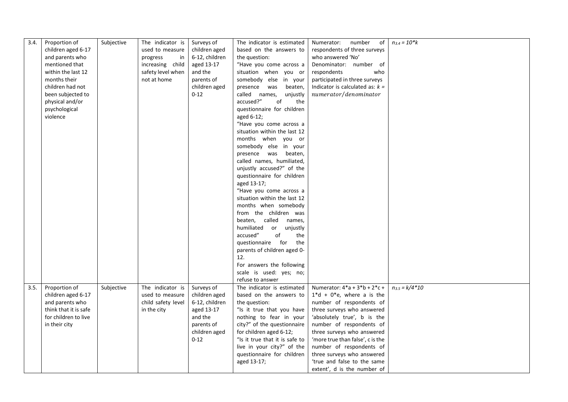| children aged 6-17<br>used to measure<br>children aged<br>based on the answers to<br>respondents of three surveys                                              |  |
|----------------------------------------------------------------------------------------------------------------------------------------------------------------|--|
| 6-12, children<br>and parents who<br>the question:<br>who answered 'No'<br>progress<br>in                                                                      |  |
| mentioned that<br>increasing child<br>aged 13-17<br>"Have you come across a<br>Denominator: number of                                                          |  |
| safety level when<br>and the<br>situation when you or<br>within the last 12<br>respondents<br>who                                                              |  |
| not at home<br>somebody else in your<br>participated in three surveys<br>months their<br>parents of                                                            |  |
| children had not<br>children aged<br>presence was<br>Indicator is calculated as: $k =$<br>beaten,                                                              |  |
| numerator/denominator<br>been subjected to<br>$0 - 12$<br>called names,<br>unjustly                                                                            |  |
| physical and/or<br>accused?"<br>of<br>the                                                                                                                      |  |
| psychological<br>questionnaire for children                                                                                                                    |  |
| violence<br>aged 6-12;                                                                                                                                         |  |
| "Have you come across a                                                                                                                                        |  |
| situation within the last 12                                                                                                                                   |  |
| months when you or                                                                                                                                             |  |
| somebody else in your                                                                                                                                          |  |
| presence was beaten,                                                                                                                                           |  |
| called names, humiliated,                                                                                                                                      |  |
| unjustly accused?" of the                                                                                                                                      |  |
| questionnaire for children                                                                                                                                     |  |
| aged 13-17;                                                                                                                                                    |  |
| "Have you come across a                                                                                                                                        |  |
| situation within the last 12                                                                                                                                   |  |
| months when somebody                                                                                                                                           |  |
| from the children was                                                                                                                                          |  |
| beaten, called names,                                                                                                                                          |  |
| humiliated<br>or unjustly                                                                                                                                      |  |
| accused"<br>of<br>the                                                                                                                                          |  |
| questionnaire for<br>the                                                                                                                                       |  |
| parents of children aged 0-                                                                                                                                    |  |
| 12.                                                                                                                                                            |  |
| For answers the following                                                                                                                                      |  |
| scale is used: yes; no;                                                                                                                                        |  |
| refuse to answer                                                                                                                                               |  |
| Proportion of<br>The indicator is<br>Numerator: $4^*a + 3^*b + 2^*c +$<br>$n_{3.5} = k/4*10$<br>3.5.<br>Subjective<br>Surveys of<br>The indicator is estimated |  |
| children aged 6-17<br>used to measure<br>based on the answers to<br>$1 * d + 0 * e$ , where a is the<br>children aged                                          |  |
| and parents who<br>child safety level<br>the question:<br>number of respondents of<br>6-12, children                                                           |  |
| think that it is safe<br>"Is it true that you have<br>in the city<br>aged 13-17<br>three surveys who answered                                                  |  |
| for children to live<br>and the<br>nothing to fear in your<br>'absolutely true', b is the                                                                      |  |
| city?" of the questionnaire<br>parents of<br>number of respondents of<br>in their city                                                                         |  |
| children aged<br>for children aged 6-12;<br>three surveys who answered                                                                                         |  |
| $0 - 12$<br>"Is it true that it is safe to<br>'more true than false', c is the                                                                                 |  |
| number of respondents of<br>live in your city?" of the                                                                                                         |  |
| questionnaire for children<br>three surveys who answered                                                                                                       |  |
| aged 13-17;<br>'true and false to the same                                                                                                                     |  |
| extent', d is the number of                                                                                                                                    |  |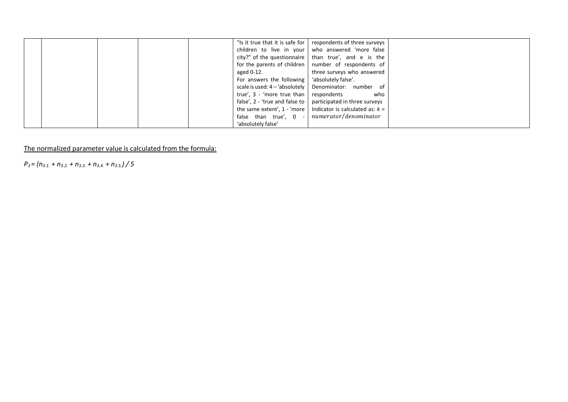|  |  |                                                 | "Is it true that it is safe for   respondents of three surveys         |  |
|--|--|-------------------------------------------------|------------------------------------------------------------------------|--|
|  |  |                                                 | children to live in your   who answered 'more false                    |  |
|  |  |                                                 | city?" of the questionnaire   than true', and e is the                 |  |
|  |  |                                                 | for the parents of children   number of respondents of                 |  |
|  |  | aged 0-12.                                      | three surveys who answered                                             |  |
|  |  | For answers the following   'absolutely false'. |                                                                        |  |
|  |  |                                                 | scale is used: 4 - 'absolutely   Denominator: number of                |  |
|  |  | true', 3 - 'more true than respondents          | who                                                                    |  |
|  |  |                                                 | false', $2 -$ 'true and false to $\vert$ participated in three surveys |  |
|  |  |                                                 | the same extent', 1 - 'more   Indicator is calculated as: $k =$        |  |
|  |  | false than true', $0 -$                         | numerator/denominator                                                  |  |
|  |  | 'absolutely false'                              |                                                                        |  |

*P3 = (n3.1. + n3.2. + n3.3. + n3.4. + n3.5.) / 5*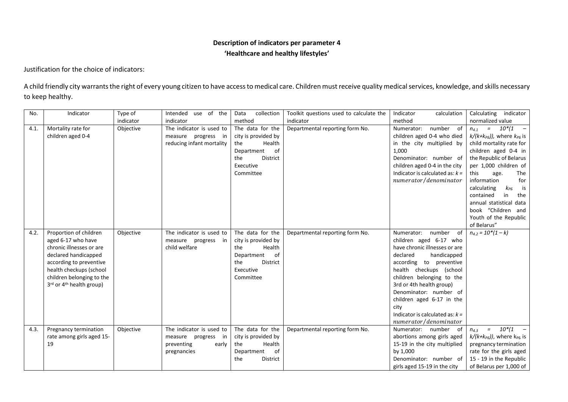# **Description of indicators per parameter 4 'Healthcare and healthy lifestyles'**

Justification for the choice of indicators:

A child friendly city warrants the right of every young citizen to have access to medical care. Children must receive quality medical services, knowledge, and skills necessary to keep healthy.

| No.  | Indicator                          | Type of   | use of the<br>Intended    | Data<br>collection  | Toolkit questions used to calculate the | Indicator<br>calculation          | Calculating<br>indicator                                  |
|------|------------------------------------|-----------|---------------------------|---------------------|-----------------------------------------|-----------------------------------|-----------------------------------------------------------|
|      |                                    | indicator | indicator                 | method              | indicator                               | method                            | normalized value                                          |
| 4.1. | Mortality rate for                 | Objective | The indicator is used to  | The data for the    | Departmental reporting form No.         | Numerator:<br>number of           | $10^{*}/1$<br>$\alpha_{\rm c} = 0.01$<br>$n_{4,1}$<br>$-$ |
|      | children aged 0-4                  |           | measure progress<br>in    | city is provided by |                                         | children aged 0-4 who died        | $k/(k+k_{\text{PB}}))$ , where $k_{\text{PB}}$ is         |
|      |                                    |           | reducing infant mortality | the<br>Health       |                                         | in the city multiplied by         | child mortality rate for                                  |
|      |                                    |           |                           | of<br>Department    |                                         | 1,000                             | children aged 0-4 in                                      |
|      |                                    |           |                           | the<br>District     |                                         | Denominator: number of            | the Republic of Belarus                                   |
|      |                                    |           |                           | Executive           |                                         | children aged 0-4 in the city     | per 1,000 children of                                     |
|      |                                    |           |                           | Committee           |                                         | Indicator is calculated as: $k =$ | this<br>The<br>age.                                       |
|      |                                    |           |                           |                     |                                         | numerator/denominator             | information<br>for                                        |
|      |                                    |           |                           |                     |                                         |                                   | calculating<br>$k_{P5}$<br>is                             |
|      |                                    |           |                           |                     |                                         |                                   | contained<br>in<br>the                                    |
|      |                                    |           |                           |                     |                                         |                                   | annual statistical data                                   |
|      |                                    |           |                           |                     |                                         |                                   | book "Children and                                        |
|      |                                    |           |                           |                     |                                         |                                   | Youth of the Republic                                     |
|      |                                    |           |                           |                     |                                         |                                   | of Belarus"                                               |
| 4.2. | Proportion of children             | Objective | The indicator is used to  | The data for the    | Departmental reporting form No.         | Numerator:<br>number<br>of        | $n_{4,2} = 10*(1-k)$                                      |
|      | aged 6-17 who have                 |           | measure progress<br>in    | city is provided by |                                         | children aged 6-17 who            |                                                           |
|      | chronic illnesses or are           |           | child welfare             | the<br>Health       |                                         | have chronic illnesses or are     |                                                           |
|      | declared handicapped               |           |                           | of<br>Department    |                                         | declared<br>handicapped           |                                                           |
|      | according to preventive            |           |                           | the<br>District     |                                         | according to preventive           |                                                           |
|      | health checkups (school            |           |                           | Executive           |                                         | health checkups (school           |                                                           |
|      | children belonging to the          |           |                           | Committee           |                                         | children belonging to the         |                                                           |
|      | $3^{rd}$ or $4^{th}$ health group) |           |                           |                     |                                         | 3rd or 4th health group)          |                                                           |
|      |                                    |           |                           |                     |                                         | Denominator: number of            |                                                           |
|      |                                    |           |                           |                     |                                         | children aged 6-17 in the         |                                                           |
|      |                                    |           |                           |                     |                                         | city                              |                                                           |
|      |                                    |           |                           |                     |                                         | Indicator is calculated as: $k =$ |                                                           |
|      |                                    |           |                           |                     |                                         | numerator/denominator             |                                                           |
| 4.3. | Pregnancy termination              | Objective | The indicator is used to  | The data for the    | Departmental reporting form No.         | Numerator: number of              | $10^{*}/1$<br>$\mathbf{r} = \mathbf{r}$<br>$n_{4}$ 3      |
|      | rate among girls aged 15-          |           | measure progress<br>in    | city is provided by |                                         | abortions among girls aged        | $k/(k+k_{\text{PB}}))$ , where k <sub>PB</sub> is         |
|      | 19                                 |           | preventing<br>early       | Health<br>the       |                                         | 15-19 in the city multiplied      | pregnancy termination                                     |
|      |                                    |           | pregnancies               | of<br>Department    |                                         | by 1,000                          | rate for the girls aged                                   |
|      |                                    |           |                           | the<br>District     |                                         | Denominator: number of            | 15 - 19 in the Republic                                   |
|      |                                    |           |                           |                     |                                         | girls aged 15-19 in the city      | of Belarus per 1,000 of                                   |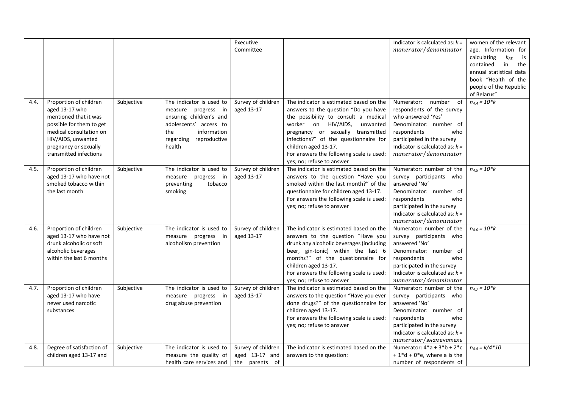|      |                           |            |                           | Executive          |                                          | Indicator is calculated as: $k =$  | women of the relevant         |
|------|---------------------------|------------|---------------------------|--------------------|------------------------------------------|------------------------------------|-------------------------------|
|      |                           |            |                           | Committee          |                                          | numerator/denominator              | age. Information for          |
|      |                           |            |                           |                    |                                          |                                    | calculating<br>$k_{P5}$<br>is |
|      |                           |            |                           |                    |                                          |                                    | contained<br>in<br>the        |
|      |                           |            |                           |                    |                                          |                                    | annual statistical data       |
|      |                           |            |                           |                    |                                          |                                    | book "Health of the           |
|      |                           |            |                           |                    |                                          |                                    | people of the Republic        |
|      |                           |            |                           |                    |                                          |                                    | of Belarus"                   |
| 4.4. | Proportion of children    | Subjective | The indicator is used to  | Survey of children | The indicator is estimated based on the  | number<br>of<br>Numerator:         | $n_{4,4} = 10*k$              |
|      | aged 13-17 who            |            | measure progress in       | aged 13-17         | answers to the question "Do you have     | respondents of the survey          |                               |
|      | mentioned that it was     |            | ensuring children's and   |                    | the possibility to consult a medical     | who answered 'Yes'                 |                               |
|      | possible for them to get  |            | adolescents' access to    |                    | worker on HIV/AIDS,<br>unwanted          | Denominator: number of             |                               |
|      | medical consultation on   |            | the<br>information        |                    | pregnancy or sexually transmitted        | respondents<br>who                 |                               |
|      | HIV/AIDS, unwanted        |            | regarding<br>reproductive |                    | infections?" of the questionnaire for    | participated in the survey         |                               |
|      | pregnancy or sexually     |            | health                    |                    | children aged 13-17.                     | Indicator is calculated as: $k =$  |                               |
|      | transmitted infections    |            |                           |                    | For answers the following scale is used: | numerator/denominator              |                               |
|      |                           |            |                           |                    | yes; no; refuse to answer                |                                    |                               |
| 4.5. | Proportion of children    | Subjective | The indicator is used to  | Survey of children | The indicator is estimated based on the  | Numerator: number of the           | $n_{4.5} = 10*k$              |
|      | aged 13-17 who have not   |            | measure progress in       | aged 13-17         | answers to the question "Have you        | survey participants who            |                               |
|      | smoked tobacco within     |            | preventing<br>tobacco     |                    | smoked within the last month?" of the    | answered 'No'                      |                               |
|      | the last month            |            | smoking                   |                    | questionnaire for children aged 13-17.   | Denominator: number of             |                               |
|      |                           |            |                           |                    | For answers the following scale is used: | respondents<br>who                 |                               |
|      |                           |            |                           |                    | yes; no; refuse to answer                | participated in the survey         |                               |
|      |                           |            |                           |                    |                                          | Indicator is calculated as: $k =$  |                               |
|      |                           |            |                           |                    |                                          | numerator/denominator              |                               |
| 4.6. | Proportion of children    | Subjective | The indicator is used to  | Survey of children | The indicator is estimated based on the  | Numerator: number of the           | $n_{4.6} = 10$ * $k$          |
|      | aged 13-17 who have not   |            | measure progress<br>in    | aged 13-17         | answers to the question "Have you        | survey participants who            |                               |
|      | drunk alcoholic or soft   |            | alcoholism prevention     |                    | drunk any alcoholic beverages (including | answered 'No'                      |                               |
|      | alcoholic beverages       |            |                           |                    | beer, gin-tonic) within the last 6       | Denominator: number of             |                               |
|      | within the last 6 months  |            |                           |                    | months?" of the questionnaire for        | respondents<br>who                 |                               |
|      |                           |            |                           |                    | children aged 13-17.                     | participated in the survey         |                               |
|      |                           |            |                           |                    | For answers the following scale is used: | Indicator is calculated as: $k =$  |                               |
|      |                           |            |                           |                    | yes; no; refuse to answer                | numerator/denominator              |                               |
| 4.7. | Proportion of children    | Subjective | The indicator is used to  | Survey of children | The indicator is estimated based on the  | Numerator: number of the           | $n_{4.7} = 10$ *k             |
|      | aged 13-17 who have       |            | measure progress in       | aged 13-17         | answers to the question "Have you ever   | survey participants who            |                               |
|      | never used narcotic       |            | drug abuse prevention     |                    | done drugs?" of the questionnaire for    | answered 'No'                      |                               |
|      | substances                |            |                           |                    | children aged 13-17.                     | Denominator: number of             |                               |
|      |                           |            |                           |                    | For answers the following scale is used: | respondents<br>who                 |                               |
|      |                           |            |                           |                    | yes; no; refuse to answer                | participated in the survey         |                               |
|      |                           |            |                           |                    |                                          | Indicator is calculated as: $k =$  |                               |
|      |                           |            |                           |                    |                                          | numerator/знаменатель              |                               |
| 4.8. | Degree of satisfaction of | Subjective | The indicator is used to  | Survey of children | The indicator is estimated based on the  | Numerator: $4 * a + 3 * b + 2 * c$ | $n_{4.8} = k/4 * 10$          |
|      | children aged 13-17 and   |            | measure the quality of    | aged 13-17 and     | answers to the question:                 | $+1*d+0*e$ , where a is the        |                               |
|      |                           |            | health care services and  | the parents of     |                                          | number of respondents of           |                               |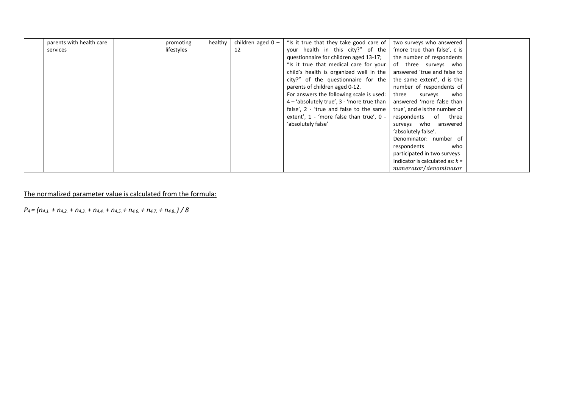| parents with health care | promoting  | healthy | children aged $0 -$ | "Is it true that they take good care of                               | two surveys who answered          |  |
|--------------------------|------------|---------|---------------------|-----------------------------------------------------------------------|-----------------------------------|--|
| services                 | lifestyles |         | 12                  | your health in this city?" of the                                     | 'more true than false', c is      |  |
|                          |            |         |                     | questionnaire for children aged 13-17;                                | the number of respondents         |  |
|                          |            |         |                     | "Is it true that medical care for your                                | of three surveys who              |  |
|                          |            |         |                     | child's health is organized well in the   answered 'true and false to |                                   |  |
|                          |            |         |                     | city?" of the questionnaire for the                                   | the same extent', d is the        |  |
|                          |            |         |                     | parents of children aged 0-12.                                        | number of respondents of          |  |
|                          |            |         |                     | For answers the following scale is used:                              | who<br>three<br>surveys           |  |
|                          |            |         |                     | $4 - 4$ absolutely true', 3 - 'more true than                         | answered 'more false than         |  |
|                          |            |         |                     | false', 2 - 'true and false to the same                               | true', and e is the number of     |  |
|                          |            |         |                     | extent', 1 - 'more false than true', 0 -                              | respondents<br>of three           |  |
|                          |            |         |                     | 'absolutely false'                                                    | surveys who answered              |  |
|                          |            |         |                     |                                                                       | 'absolutely false'.               |  |
|                          |            |         |                     |                                                                       | Denominator: number of            |  |
|                          |            |         |                     |                                                                       | respondents<br>who                |  |
|                          |            |         |                     |                                                                       | participated in two surveys       |  |
|                          |            |         |                     |                                                                       | Indicator is calculated as: $k =$ |  |
|                          |            |         |                     |                                                                       | numerator/denominator             |  |

*P4 = (n4.1. + n4.2. + n4.3. + n4.4. + n4.5. + n4.6. + n4.7. + n4.8..) / 8*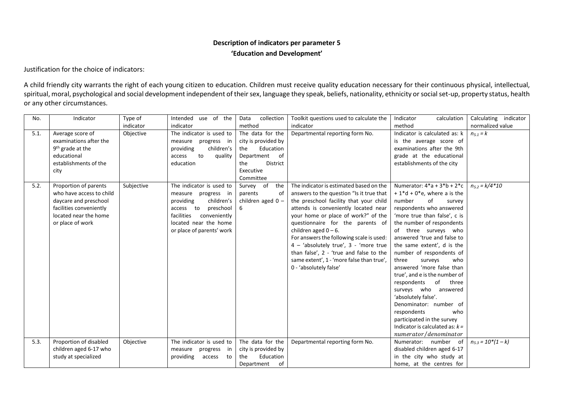# **Description of indicators per parameter 5 'Education and Development'**

Justification for the choice of indicators:

A child friendly city warrants the right of each young citizen to education. Children must receive quality education necessary for their continuous physical, intellectual, spiritual, moral, psychological and social development independent of their sex, language they speak, beliefs, nationality, ethnicity or social set-up, property status, health or any other circumstances.

| No.  | Indicator                                                                                                                                          | Type of<br>indicator | Intended use of the<br>indicator                                                                                                                                                         | collection<br>Data<br>method                                                                                                 | Toolkit questions used to calculate the<br>indicator                                                                                                                                                                                                                                                                                                                                                                                                                               | Indicator<br>calculation<br>method                                                                                                                                                                                                                                                                                                                                                                                                                                                                                                                                                                                | Calculating indicator<br>normalized value |
|------|----------------------------------------------------------------------------------------------------------------------------------------------------|----------------------|------------------------------------------------------------------------------------------------------------------------------------------------------------------------------------------|------------------------------------------------------------------------------------------------------------------------------|------------------------------------------------------------------------------------------------------------------------------------------------------------------------------------------------------------------------------------------------------------------------------------------------------------------------------------------------------------------------------------------------------------------------------------------------------------------------------------|-------------------------------------------------------------------------------------------------------------------------------------------------------------------------------------------------------------------------------------------------------------------------------------------------------------------------------------------------------------------------------------------------------------------------------------------------------------------------------------------------------------------------------------------------------------------------------------------------------------------|-------------------------------------------|
| 5.1. | Average score of<br>examinations after the<br>9 <sup>th</sup> grade at the<br>educational<br>establishments of the<br>city                         | Objective            | The indicator is used to<br>measure progress in<br>children's<br>providing<br>to<br>quality<br>access<br>education                                                                       | The data for the<br>city is provided by<br>Education<br>the<br>of<br>Department<br>District<br>the<br>Executive<br>Committee | Departmental reporting form No.                                                                                                                                                                                                                                                                                                                                                                                                                                                    | Indicator is calculated as: k<br>is the average score of<br>examinations after the 9th<br>grade at the educational<br>establishments of the city                                                                                                                                                                                                                                                                                                                                                                                                                                                                  | $n_{5,1} = k$                             |
| 5.2. | Proportion of parents<br>who have access to child<br>daycare and preschool<br>facilities conveniently<br>located near the home<br>or place of work | Subjective           | The indicator is used to<br>measure progress in<br>children's<br>providing<br>preschool<br>access to<br>facilities<br>conveniently<br>located near the home<br>or place of parents' work | Survey of<br>the<br>parents<br>оf<br>children aged $0 -$<br>6                                                                | The indicator is estimated based on the<br>answers to the question "Is it true that<br>the preschool facility that your child<br>attends is conveniently located near<br>your home or place of work?" of the<br>questionnaire for the parents of<br>children aged $0 - 6$ .<br>For answers the following scale is used:<br>4 - 'absolutely true', 3 - 'more true<br>than false', 2 - 'true and false to the<br>same extent', 1 - 'more false than true',<br>0 - 'absolutely false' | Numerator: $4^*a + 3^*b + 2^*c$<br>$+1*d+0*e$ , where a is the<br>number<br>of<br>survey<br>respondents who answered<br>'more true than false', c is<br>the number of respondents<br>of three surveys who<br>answered 'true and false to<br>the same extent', d is the<br>number of respondents of<br>three<br>who<br>surveys<br>answered 'more false than<br>true', and e is the number of<br>respondents of<br>three<br>surveys who answered<br>'absolutely false'.<br>Denominator: number of<br>respondents<br>who<br>participated in the survey<br>Indicator is calculated as: $k =$<br>numerator/denominator | $n_{5.2} = k/4*10$                        |
| 5.3. | Proportion of disabled<br>children aged 6-17 who<br>study at specialized                                                                           | Objective            | The indicator is used to<br>progress<br>measure<br>in<br>providing<br>access<br>to                                                                                                       | The data for the<br>city is provided by<br>Education<br>the<br>of<br>Department                                              | Departmental reporting form No.                                                                                                                                                                                                                                                                                                                                                                                                                                                    | Numerator: number of<br>disabled children aged 6-17<br>in the city who study at<br>home, at the centres for                                                                                                                                                                                                                                                                                                                                                                                                                                                                                                       | $n_{5,3} = 10*(1-k)$                      |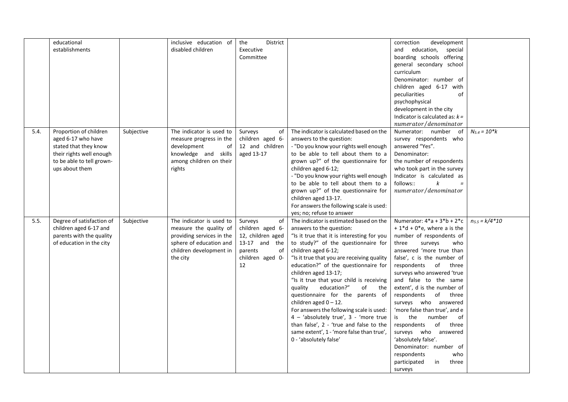|      | educational               |            | inclusive education of    | <b>District</b><br>the |                                            | correction<br>development         |                    |
|------|---------------------------|------------|---------------------------|------------------------|--------------------------------------------|-----------------------------------|--------------------|
|      | establishments            |            | disabled children         | Executive              |                                            | education, special<br>and         |                    |
|      |                           |            |                           | Committee              |                                            | boarding schools offering         |                    |
|      |                           |            |                           |                        |                                            | general secondary school          |                    |
|      |                           |            |                           |                        |                                            | curriculum                        |                    |
|      |                           |            |                           |                        |                                            | Denominator: number of            |                    |
|      |                           |            |                           |                        |                                            | children aged 6-17 with           |                    |
|      |                           |            |                           |                        |                                            | peculiarities<br>of               |                    |
|      |                           |            |                           |                        |                                            | psychophysical                    |                    |
|      |                           |            |                           |                        |                                            | development in the city           |                    |
|      |                           |            |                           |                        |                                            | Indicator is calculated as: $k =$ |                    |
|      |                           |            |                           |                        |                                            | numerator/denominator             |                    |
| 5.4. | Proportion of children    | Subjective | The indicator is used to  | Surveys<br>of          | The indicator is calculated based on the   | Numerator: number of              | $N_{5,4} = 10*k$   |
|      | aged 6-17 who have        |            | measure progress in the   | children aged 6-       | answers to the question:                   | survey respondents who            |                    |
|      | stated that they know     |            | development<br>of         | 12 and children        | - "Do you know your rights well enough     | answered "Yes".                   |                    |
|      | their rights well enough  |            | knowledge and<br>skills   | aged 13-17             | to be able to tell about them to a         | Denominator:                      |                    |
|      | to be able to tell grown- |            | among children on their   |                        | grown up?" of the questionnaire for        | the number of respondents         |                    |
|      | ups about them            |            | rights                    |                        | children aged 6-12;                        | who took part in the survey       |                    |
|      |                           |            |                           |                        | - "Do you know your rights well enough     | Indicator is calculated as        |                    |
|      |                           |            |                           |                        | to be able to tell about them to a         | follows::<br>k<br>$\equiv$        |                    |
|      |                           |            |                           |                        | grown up?" of the questionnaire for        | numerator/denominator             |                    |
|      |                           |            |                           |                        | children aged 13-17.                       |                                   |                    |
|      |                           |            |                           |                        | For answers the following scale is used:   |                                   |                    |
|      |                           |            |                           |                        | yes; no; refuse to answer                  |                                   |                    |
| 5.5. | Degree of satisfaction of | Subjective | The indicator is used to  | Surveys<br>of          | The indicator is estimated based on the    | Numerator: $4^*a + 3^*b + 2^*c$   | $n_{5.5} = k/4*10$ |
|      | children aged 6-17 and    |            | measure the quality of    | children aged 6-       | answers to the question:                   | $+1* d + 0* e$ , where a is the   |                    |
|      | parents with the quality  |            | providing services in the | 12, children aged      | "Is it true that it is interesting for you | number of respondents of          |                    |
|      | of education in the city  |            | sphere of education and   | 13-17 and the          | to study?" of the questionnaire for        | three<br>surveys<br>who           |                    |
|      |                           |            | children development in   | parents<br>of          | children aged 6-12;                        | answered 'more true than          |                    |
|      |                           |            | the city                  | children aged 0-       | "Is it true that you are receiving quality | false', c is the number of        |                    |
|      |                           |            |                           | 12                     | education?" of the questionnaire for       | respondents of three              |                    |
|      |                           |            |                           |                        | children aged 13-17;                       | surveys who answered 'true        |                    |
|      |                           |            |                           |                        | "Is it true that your child is receiving   | and false to the same             |                    |
|      |                           |            |                           |                        | education?"<br>of the<br>quality           | extent', d is the number of       |                    |
|      |                           |            |                           |                        | questionnaire for the parents of           | respondents of three              |                    |
|      |                           |            |                           |                        | children aged $0 - 12$ .                   | surveys who answered              |                    |
|      |                           |            |                           |                        | For answers the following scale is used:   | 'more false than true', and e     |                    |
|      |                           |            |                           |                        | 4 - 'absolutely true', 3 - 'more true      | the<br>number<br>of<br>is         |                    |
|      |                           |            |                           |                        | than false', 2 - 'true and false to the    | respondents<br>of<br>three        |                    |
|      |                           |            |                           |                        | same extent', 1 - 'more false than true',  | surveys who answered              |                    |
|      |                           |            |                           |                        | 0 - 'absolutely false'                     | 'absolutely false'.               |                    |
|      |                           |            |                           |                        |                                            | Denominator: number of            |                    |
|      |                           |            |                           |                        |                                            | respondents<br>who                |                    |
|      |                           |            |                           |                        |                                            | participated<br>in<br>three       |                    |
|      |                           |            |                           |                        |                                            | surveys                           |                    |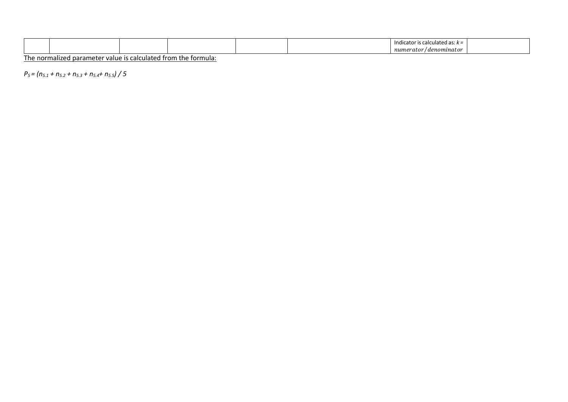|  |  |  | Indic.<br>-dlated as: $k =$<br>ator<br>. IS U |  |
|--|--|--|-----------------------------------------------|--|
|  |  |  | / denominator<br>$-$<br>r u v r<br>nunic<br>. |  |

*P5 = (n5.1 + n5.2 + n5.3 + n5.4+ n5.5) / 5*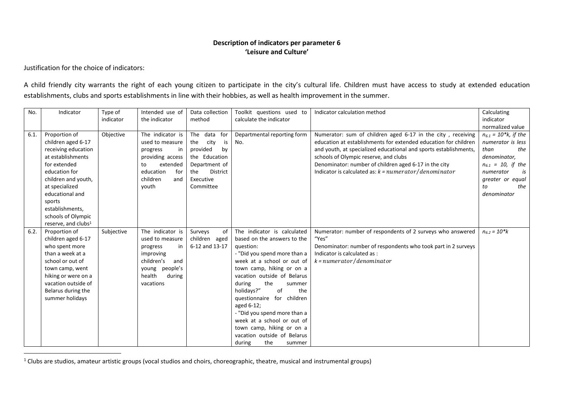### **Description of indicators per parameter 6 'Leisure and Culture'**

Justification for the choice of indicators:

 $\overline{a}$ 

A child friendly city warrants the right of each young citizen to participate in the city's cultural life. Children must have access to study at extended education establishments, clubs and sports establishments in line with their hobbies, as well as health improvement in the summer.

| No.  | Indicator                                                                                                                                                                                                                                                          | Type of<br>indicator | Intended use of<br>the indicator                                                                                                            | Data collection<br>method                                                                                                             | Toolkit questions used to<br>calculate the indicator                                                                                                                                                                                                                                                                                                                                                                                                     | Indicator calculation method                                                                                                                                                                                                                                                                                                                                    | Calculating<br>indicator<br>normalized value                                                                                                                               |
|------|--------------------------------------------------------------------------------------------------------------------------------------------------------------------------------------------------------------------------------------------------------------------|----------------------|---------------------------------------------------------------------------------------------------------------------------------------------|---------------------------------------------------------------------------------------------------------------------------------------|----------------------------------------------------------------------------------------------------------------------------------------------------------------------------------------------------------------------------------------------------------------------------------------------------------------------------------------------------------------------------------------------------------------------------------------------------------|-----------------------------------------------------------------------------------------------------------------------------------------------------------------------------------------------------------------------------------------------------------------------------------------------------------------------------------------------------------------|----------------------------------------------------------------------------------------------------------------------------------------------------------------------------|
| 6.1. | Proportion of<br>children aged 6-17<br>receiving education<br>at establishments<br>for extended<br>education for<br>children and youth,<br>at specialized<br>educational and<br>sports<br>establishments,<br>schools of Olympic<br>reserve, and clubs <sup>1</sup> | Objective            | The indicator is<br>used to measure<br>in<br>progress<br>providing access<br>extended<br>to<br>education<br>for<br>children<br>and<br>youth | The data<br>for<br>city<br>the<br>is<br>provided<br>by<br>the Education<br>Department of<br>the<br>District<br>Executive<br>Committee | Departmental reporting form<br>No.                                                                                                                                                                                                                                                                                                                                                                                                                       | Numerator: sum of children aged 6-17 in the city, receiving<br>education at establishments for extended education for children<br>and youth, at specialized educational and sports establishments,<br>schools of Olympic reserve, and clubs<br>Denominator: number of children aged 6-17 in the city<br>Indicator is calculated as: $k = numerator/denominator$ | $n_{6.1} = 10$ *k, if the<br>numerator is less<br>the<br>than<br>denominator,<br>$n_{6.1}$ = 10, if the<br>numerator<br>is<br>greater or equal<br>the<br>to<br>denominator |
| 6.2. | Proportion of<br>children aged 6-17<br>who spent more<br>than a week at a<br>school or out of<br>town camp, went<br>hiking or were on a<br>vacation outside of<br>Belarus during the<br>summer holidays                                                            | Subjective           | The indicator is<br>used to measure<br>in<br>progress<br>improving<br>children's<br>and<br>young people's<br>health<br>during<br>vacations  | Surveys<br>of<br>children aged<br>6-12 and 13-17                                                                                      | The indicator is calculated<br>based on the answers to the<br>question:<br>- "Did you spend more than a<br>week at a school or out of<br>town camp, hiking or on a<br>vacation outside of Belarus<br>during<br>the<br>summer<br>holidays?"<br>of<br>the<br>questionnaire for children<br>aged 6-12;<br>- "Did you spend more than a<br>week at a school or out of<br>town camp, hiking or on a<br>vacation outside of Belarus<br>during<br>the<br>summer | Numerator: number of respondents of 2 surveys who answered<br>"Yes"<br>Denominator: number of respondents who took part in 2 surveys<br>Indicator is calculated as:<br>$k = numerator/denominator$                                                                                                                                                              | $n_{6.2} = 10$ *k                                                                                                                                                          |

 $1$  Clubs are studios, amateur artistic groups (vocal studios and choirs, choreographic, theatre, musical and instrumental groups)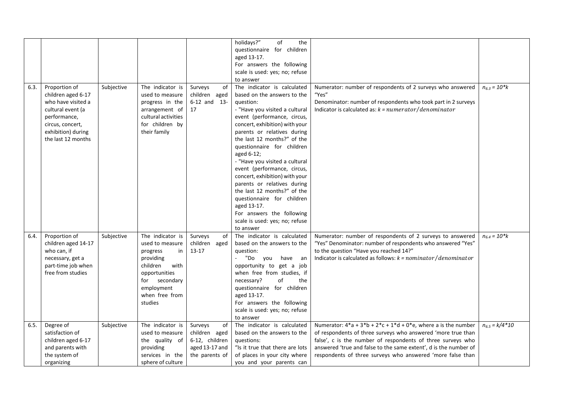|      |                     |            |                     |                  | holidays?"<br>of<br>the         |                                                                       |                    |
|------|---------------------|------------|---------------------|------------------|---------------------------------|-----------------------------------------------------------------------|--------------------|
|      |                     |            |                     |                  | questionnaire for children      |                                                                       |                    |
|      |                     |            |                     |                  | aged 13-17.                     |                                                                       |                    |
|      |                     |            |                     |                  | For answers the following       |                                                                       |                    |
|      |                     |            |                     |                  | scale is used: yes; no; refuse  |                                                                       |                    |
|      |                     |            |                     |                  | to answer                       |                                                                       |                    |
| 6.3. | Proportion of       | Subjective | The indicator is    | Surveys<br>0f    | The indicator is calculated     | Numerator: number of respondents of 2 surveys who answered            | $n_{6.3} = 10* k$  |
|      | children aged 6-17  |            | used to measure     | children aged    | based on the answers to the     | "Yes"                                                                 |                    |
|      | who have visited a  |            | progress in the     | $6-12$ and $13-$ | question:                       | Denominator: number of respondents who took part in 2 surveys         |                    |
|      | cultural event (a   |            | arrangement of      | 17               | - "Have you visited a cultural  | Indicator is calculated as: $k = numerator / denominator$             |                    |
|      | performance,        |            | cultural activities |                  | event (performance, circus,     |                                                                       |                    |
|      | circus, concert,    |            | for children by     |                  | concert, exhibition) with your  |                                                                       |                    |
|      | exhibition) during  |            | their family        |                  | parents or relatives during     |                                                                       |                    |
|      | the last 12 months  |            |                     |                  | the last 12 months?" of the     |                                                                       |                    |
|      |                     |            |                     |                  | questionnaire for children      |                                                                       |                    |
|      |                     |            |                     |                  | aged 6-12;                      |                                                                       |                    |
|      |                     |            |                     |                  | - "Have you visited a cultural  |                                                                       |                    |
|      |                     |            |                     |                  | event (performance, circus,     |                                                                       |                    |
|      |                     |            |                     |                  | concert, exhibition) with your  |                                                                       |                    |
|      |                     |            |                     |                  | parents or relatives during     |                                                                       |                    |
|      |                     |            |                     |                  | the last 12 months?" of the     |                                                                       |                    |
|      |                     |            |                     |                  | questionnaire for children      |                                                                       |                    |
|      |                     |            |                     |                  | aged 13-17.                     |                                                                       |                    |
|      |                     |            |                     |                  | For answers the following       |                                                                       |                    |
|      |                     |            |                     |                  | scale is used: yes; no; refuse  |                                                                       |                    |
|      |                     |            |                     |                  | to answer                       |                                                                       |                    |
| 6.4. | Proportion of       | Subjective | The indicator is    | Surveys<br>0f    | The indicator is calculated     | Numerator: number of respondents of 2 surveys to answered             | $n_{6.4} = 10$ *k  |
|      | children aged 14-17 |            | used to measure     | children aged    | based on the answers to the     | "Yes" Denominator: number of respondents who answered "Yes"           |                    |
|      | who can, if         |            | progress<br>in      | $13 - 17$        | question:                       | to the question "Have you reached 14?"                                |                    |
|      | necessary, get a    |            | providing           |                  | "Do you<br>have an              | Indicator is calculated as follows: $k = nominator/denominator$       |                    |
|      | part-time job when  |            | children<br>with    |                  | opportunity to get a job        |                                                                       |                    |
|      | free from studies   |            | opportunities       |                  | when free from studies, if      |                                                                       |                    |
|      |                     |            | for secondary       |                  | of<br>necessary?<br>the         |                                                                       |                    |
|      |                     |            | employment          |                  | questionnaire for children      |                                                                       |                    |
|      |                     |            | when free from      |                  | aged 13-17.                     |                                                                       |                    |
|      |                     |            | studies             |                  | For answers the following       |                                                                       |                    |
|      |                     |            |                     |                  | scale is used: yes; no; refuse  |                                                                       |                    |
|      |                     |            |                     |                  | to answer                       |                                                                       |                    |
| 6.5. | Degree of           | Subjective | The indicator is    | Surveys<br>of    | The indicator is calculated     | Numerator: $4^*a + 3^*b + 2^*c + 1^*d + 0^*e$ , where a is the number | $n_{6.5} = k/4*10$ |
|      | satisfaction of     |            | used to measure     | children aged    | based on the answers to the     | of respondents of three surveys who answered 'more true than          |                    |
|      | children aged 6-17  |            | the quality of      | 6-12, children   | questions:                      | false', c is the number of respondents of three surveys who           |                    |
|      | and parents with    |            | providing           | aged 13-17 and   | "Is it true that there are lots | answered 'true and false to the same extent', d is the number of      |                    |
|      | the system of       |            | services in the     | the parents of   | of places in your city where    | respondents of three surveys who answered 'more false than            |                    |
|      | organizing          |            | sphere of culture   |                  | you and your parents can        |                                                                       |                    |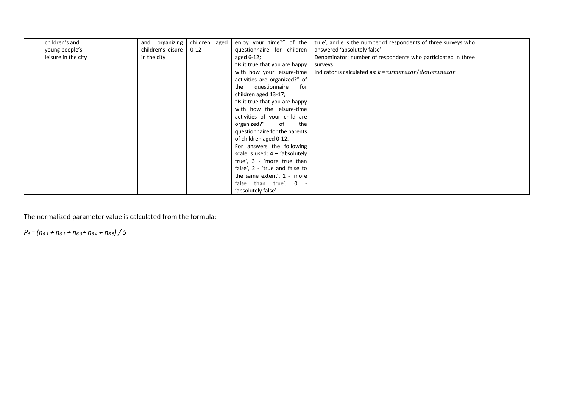| children's and      | and organizing     | children aged | enjoy your time?" of the         | true', and e is the number of respondents of three surveys who |  |
|---------------------|--------------------|---------------|----------------------------------|----------------------------------------------------------------|--|
| young people's      | children's leisure | $0 - 12$      | questionnaire for children       | answered 'absolutely false'.                                   |  |
| leisure in the city | in the city        |               | aged 6-12;                       | Denominator: number of respondents who participated in three   |  |
|                     |                    |               | "Is it true that you are happy   | surveys                                                        |  |
|                     |                    |               | with how your leisure-time       | Indicator is calculated as: $k = numerator / denominator$      |  |
|                     |                    |               | activities are organized?" of    |                                                                |  |
|                     |                    |               | the questionnaire<br>for         |                                                                |  |
|                     |                    |               | children aged 13-17;             |                                                                |  |
|                     |                    |               | "Is it true that you are happy   |                                                                |  |
|                     |                    |               | with how the leisure-time        |                                                                |  |
|                     |                    |               | activities of your child are     |                                                                |  |
|                     |                    |               | organized?"<br>of<br>the         |                                                                |  |
|                     |                    |               | questionnaire for the parents    |                                                                |  |
|                     |                    |               | of children aged 0-12.           |                                                                |  |
|                     |                    |               | For answers the following        |                                                                |  |
|                     |                    |               | scale is used: $4 - 'absolutely$ |                                                                |  |
|                     |                    |               | true', 3 - 'more true than       |                                                                |  |
|                     |                    |               | false', 2 - 'true and false to   |                                                                |  |
|                     |                    |               | the same extent', 1 - 'more      |                                                                |  |
|                     |                    |               | false than true', 0 -            |                                                                |  |
|                     |                    |               | 'absolutely false'               |                                                                |  |

*P6 = (n6.1 + n6.2 + n6.3+ n6.4 + n6.5) / 5*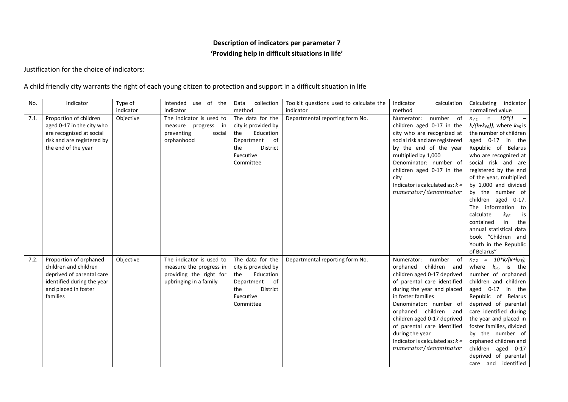# **Description of indicators per parameter 7 'Providing help in difficult situations in life'**

Justification for the choice of indicators:

### A child friendly city warrants the right of each young citizen to protection and support in a difficult situation in life

| No.  | Indicator                                                                                                                                      | Type of   | use of the<br>Intended                                                                                   | collection<br>Data                                                                                                               | Toolkit questions used to calculate the | Indicator<br>calculation                                                                                                                                                                                                                                                                                                                                                | Calculating<br>indicator                                                                                                                                                                                                                                                                                                                                                                                                                                                                          |
|------|------------------------------------------------------------------------------------------------------------------------------------------------|-----------|----------------------------------------------------------------------------------------------------------|----------------------------------------------------------------------------------------------------------------------------------|-----------------------------------------|-------------------------------------------------------------------------------------------------------------------------------------------------------------------------------------------------------------------------------------------------------------------------------------------------------------------------------------------------------------------------|---------------------------------------------------------------------------------------------------------------------------------------------------------------------------------------------------------------------------------------------------------------------------------------------------------------------------------------------------------------------------------------------------------------------------------------------------------------------------------------------------|
|      |                                                                                                                                                | indicator | indicator                                                                                                | method                                                                                                                           | indicator                               | method                                                                                                                                                                                                                                                                                                                                                                  | normalized value                                                                                                                                                                                                                                                                                                                                                                                                                                                                                  |
| 7.1. | Proportion of children<br>aged 0-17 in the city who<br>are recognized at social<br>risk and are registered by<br>the end of the year           | Objective | The indicator is used to<br>measure progress<br>- in<br>preventing<br>social<br>orphanhood               | The data for the<br>city is provided by<br>Education<br>the<br>of<br>Department<br>District<br>the<br>Executive<br>Committee     | Departmental reporting form No.         | Numerator:<br>number of<br>children aged 0-17 in the<br>city who are recognized at<br>social risk and are registered<br>by the end of the year<br>multiplied by 1,000<br>Denominator: number of<br>children aged 0-17 in the<br>city<br>Indicator is calculated as: $k =$<br>numerator/denominator                                                                      | $n_{7.1}$ = $10*(1$ -<br>$k/(k+k_{\text{PB}}))$ , where $k_{\text{PB}}$ is<br>the number of children<br>aged 0-17<br>in the<br>Republic of Belarus<br>who are recognized at<br>social risk and are<br>registered by the end<br>of the year, multiplied<br>by 1,000 and divided<br>by the number of<br>children aged 0-17.<br>The information to<br>calculate<br>$k_{P5}$<br>is<br>in<br>contained<br>the<br>annual statistical data<br>book "Children and<br>Youth in the Republic<br>of Belarus" |
| 7.2. | Proportion of orphaned<br>children and children<br>deprived of parental care<br>identified during the year<br>and placed in foster<br>families | Objective | The indicator is used to<br>measure the progress in<br>providing the right for<br>upbringing in a family | The data for the<br>city is provided by<br>Education<br>the<br>Department of<br><b>District</b><br>the<br>Executive<br>Committee | Departmental reporting form No.         | of<br>Numerator:<br>number<br>orphaned children and<br>children aged 0-17 deprived<br>of parental care identified<br>during the year and placed<br>in foster families<br>Denominator: number of<br>orphaned children and<br>children aged 0-17 deprived<br>of parental care identified<br>during the year<br>Indicator is calculated as: $k =$<br>numerator/denominator | $n_{7.2}$ = 10*k/(k+k <sub>p5</sub> ),<br>where<br>$k_{\mathsf{P}5}$<br>is<br>the<br>number of orphaned<br>children and children<br>aged $0-17$<br>in the<br>Republic of Belarus<br>deprived of parental<br>care identified during<br>the year and placed in<br>foster families, divided<br>by the number of<br>orphaned children and<br>children aged 0-17<br>deprived of parental<br>care and identified                                                                                        |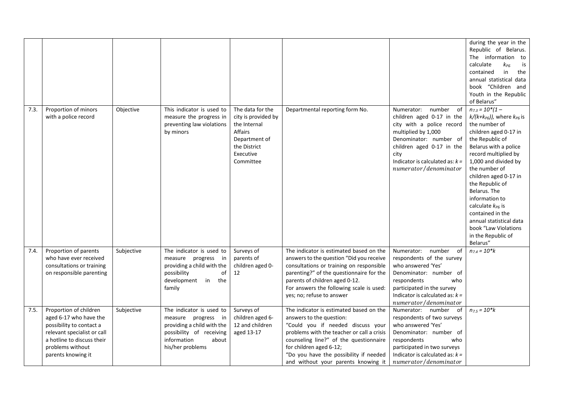|      |                                                                                                                                                                                     |            |                                                                                                                                                       |                                                                                                                               |                                                                                                                                                                                                                                                                                                              |                                                                                                                                                                                                                                          | during the year in the<br>Republic of Belarus.<br>The information to<br>calculate<br>$k_{P5}$<br>is<br>in<br>contained<br>the<br>annual statistical data<br>book "Children and<br>Youth in the Republic<br>of Belarus"                                                                                                                                                                                                                                 |
|------|-------------------------------------------------------------------------------------------------------------------------------------------------------------------------------------|------------|-------------------------------------------------------------------------------------------------------------------------------------------------------|-------------------------------------------------------------------------------------------------------------------------------|--------------------------------------------------------------------------------------------------------------------------------------------------------------------------------------------------------------------------------------------------------------------------------------------------------------|------------------------------------------------------------------------------------------------------------------------------------------------------------------------------------------------------------------------------------------|--------------------------------------------------------------------------------------------------------------------------------------------------------------------------------------------------------------------------------------------------------------------------------------------------------------------------------------------------------------------------------------------------------------------------------------------------------|
| 7.3. | Proportion of minors<br>with a police record                                                                                                                                        | Objective  | This indicator is used to<br>measure the progress in<br>preventing law violations<br>by minors                                                        | The data for the<br>city is provided by<br>the Internal<br>Affairs<br>Department of<br>the District<br>Executive<br>Committee | Departmental reporting form No.                                                                                                                                                                                                                                                                              | number<br>of<br>Numerator:<br>children aged 0-17 in the<br>city with a police record<br>multiplied by 1,000<br>Denominator: number of<br>children aged 0-17 in the<br>city<br>Indicator is calculated as: $k =$<br>numerator/denominator | $n_{7.3} = 10*(1 -$<br>$k/(k+k_{\text{PB}}))$ , where $k_{\text{PB}}$ is<br>the number of<br>children aged 0-17 in<br>the Republic of<br>Belarus with a police<br>record multiplied by<br>1,000 and divided by<br>the number of<br>children aged 0-17 in<br>the Republic of<br>Belarus. The<br>information to<br>calculate $k_{\text{PB}}$ is<br>contained in the<br>annual statistical data<br>book "Law Violations<br>in the Republic of<br>Belarus" |
| 7.4. | Proportion of parents<br>who have ever received<br>consultations or training<br>on responsible parenting                                                                            | Subjective | The indicator is used to<br>measure progress<br>in –<br>providing a child with the<br>possibility<br>οf<br>development<br>in the<br>family            | Surveys of<br>parents of<br>children aged 0-<br>12                                                                            | The indicator is estimated based on the<br>answers to the question "Did you receive<br>consultations or training on responsible<br>parenting?" of the questionnaire for the<br>parents of children aged 0-12.<br>For answers the following scale is used:<br>yes; no; refuse to answer                       | of<br>Numerator:<br>number<br>respondents of the survey<br>who answered 'Yes'<br>Denominator: number of<br>respondents<br>who<br>participated in the survey<br>Indicator is calculated as: $k =$<br>numerator/denominator                | $n_{7.4} = 10* k$                                                                                                                                                                                                                                                                                                                                                                                                                                      |
| 7.5. | Proportion of children<br>aged 6-17 who have the<br>possibility to contact a<br>relevant specialist or call<br>a hotline to discuss their<br>problems without<br>parents knowing it | Subjective | The indicator is used to<br>measure progress in<br>providing a child with the<br>possibility of receiving<br>information<br>about<br>his/her problems | Surveys of<br>children aged 6-<br>12 and children<br>aged 13-17                                                               | The indicator is estimated based on the<br>answers to the question:<br>"Could you if needed discuss your<br>problems with the teacher or call a crisis<br>counseling line?" of the questionnaire<br>for children aged 6-12;<br>"Do you have the possibility if needed<br>and without your parents knowing it | Numerator: number<br>- of<br>respondents of two surveys<br>who answered 'Yes'<br>Denominator: number of<br>respondents<br>who<br>participated in two surveys<br>Indicator is calculated as: $k =$<br>numerator/denominator               | $n_{7.5} = 10$ *k                                                                                                                                                                                                                                                                                                                                                                                                                                      |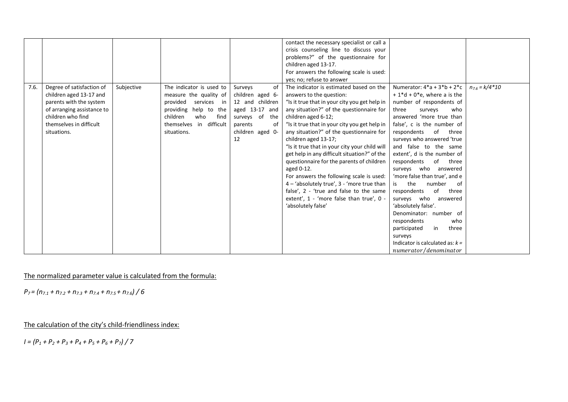|      |                            |            |                            |                   | contact the necessary specialist or call a     |                                    |                    |
|------|----------------------------|------------|----------------------------|-------------------|------------------------------------------------|------------------------------------|--------------------|
|      |                            |            |                            |                   |                                                |                                    |                    |
|      |                            |            |                            |                   | crisis counseling line to discuss your         |                                    |                    |
|      |                            |            |                            |                   | problems?" of the questionnaire for            |                                    |                    |
|      |                            |            |                            |                   | children aged 13-17.                           |                                    |                    |
|      |                            |            |                            |                   | For answers the following scale is used:       |                                    |                    |
|      |                            |            |                            |                   | yes; no; refuse to answer                      |                                    |                    |
| 7.6. | Degree of satisfaction of  | Subjective | The indicator is used to   | of<br>Surveys     | The indicator is estimated based on the        | Numerator: $4 * a + 3 * b + 2 * c$ | $n_{7.6} = k/4*10$ |
|      | children aged 13-17 and    |            | measure the quality of     | children aged 6-  | answers to the question:                       | $+1* d + 0* e$ , where a is the    |                    |
|      | parents with the system    |            | provided<br>services<br>in | 12 and children   | "Is it true that in your city you get help in  | number of respondents of           |                    |
|      | of arranging assistance to |            | providing help to the      | aged 13-17 and    | any situation?" of the questionnaire for       | three<br>who<br>surveys            |                    |
|      | children who find          |            | children<br>find<br>who    | surveys of<br>the | children aged 6-12;                            | answered 'more true than           |                    |
|      | themselves in difficult    |            | themselves in difficult    | οf<br>parents     | "Is it true that in your city you get help in  | false', c is the number of         |                    |
|      | situations.                |            | situations.                | children aged 0-  | any situation?" of the questionnaire for       | respondents of<br>three            |                    |
|      |                            |            |                            | 12                | children aged 13-17;                           | surveys who answered 'true         |                    |
|      |                            |            |                            |                   | "Is it true that in your city your child will  | and false to the same              |                    |
|      |                            |            |                            |                   | get help in any difficult situation?" of the   | extent', d is the number of        |                    |
|      |                            |            |                            |                   | questionnaire for the parents of children      | respondents<br>of<br>three         |                    |
|      |                            |            |                            |                   | aged 0-12.                                     | surveys who answered               |                    |
|      |                            |            |                            |                   | For answers the following scale is used:       | 'more false than true', and e      |                    |
|      |                            |            |                            |                   | $4 -$ 'absolutely true', $3 -$ 'more true than | is the<br>number<br>-of            |                    |
|      |                            |            |                            |                   | false', 2 - 'true and false to the same        | of<br>respondents<br>three         |                    |
|      |                            |            |                            |                   | extent', 1 - 'more false than true', 0 -       | surveys who<br>answered            |                    |
|      |                            |            |                            |                   | 'absolutely false'                             | 'absolutely false'.                |                    |
|      |                            |            |                            |                   |                                                | Denominator: number of             |                    |
|      |                            |            |                            |                   |                                                |                                    |                    |
|      |                            |            |                            |                   |                                                | respondents<br>who                 |                    |
|      |                            |            |                            |                   |                                                | participated<br>in<br>three        |                    |
|      |                            |            |                            |                   |                                                | surveys                            |                    |
|      |                            |            |                            |                   |                                                | Indicator is calculated as: $k =$  |                    |
|      |                            |            |                            |                   |                                                | numerator/denominator              |                    |

*P7 = (n7.1 + n7.2 + n7.3 + n7.4 + n7.5 + n7.6) / 6* 

The calculation of the city's child-friendliness index:

*I = (P<sup>1</sup> + P<sup>2</sup> + P<sup>3</sup> + P<sup>4</sup> + P<sup>5</sup> + P<sup>6</sup> + P7) / 7*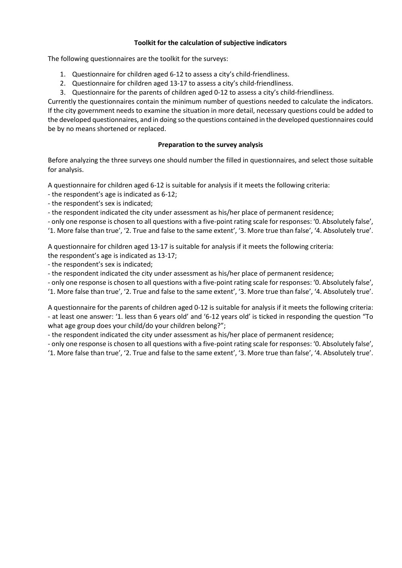### **Toolkit for the calculation of subjective indicators**

The following questionnaires are the toolkit for the surveys:

- 1. Questionnaire for children aged 6-12 to assess a city's child-friendliness.
- 2. Questionnaire for children aged 13-17 to assess a city's child-friendliness.
- 3. Questionnaire for the parents of children aged 0-12 to assess a city's child-friendliness.

Currently the questionnaires contain the minimum number of questions needed to calculate the indicators. If the city government needs to examine the situation in more detail, necessary questions could be added to the developed questionnaires, and in doing so the questions contained in the developed questionnaires could be by no means shortened or replaced.

### **Preparation to the survey analysis**

Before analyzing the three surveys one should number the filled in questionnaires, and select those suitable for analysis.

A questionnaire for children aged 6-12 is suitable for analysis if it meets the following criteria:

- the respondent's age is indicated as 6-12;

- the respondent's sex is indicated;

- the respondent indicated the city under assessment as his/her place of permanent residence;

- only one response is chosen to all questions with a five-point rating scale for responses: '0. Absolutely false', '1. More false than true', '2. True and false to the same extent', '3. More true than false', '4. Absolutely true'.

A questionnaire for children aged 13-17 is suitable for analysis if it meets the following criteria: the respondent's age is indicated as 13-17;

- the respondent's sex is indicated;

- the respondent indicated the city under assessment as his/her place of permanent residence;

- only one response is chosen to all questions with a five-point rating scale for responses: '0. Absolutely false',

'1. More false than true', '2. True and false to the same extent', '3. More true than false', '4. Absolutely true'.

A questionnaire for the parents of children aged 0-12 is suitable for analysis if it meets the following criteria: - at least one answer: '1. less than 6 years old' and '6-12 years old' is ticked in responding the question "To what age group does your child/do your children belong?";

- the respondent indicated the city under assessment as his/her place of permanent residence;

- only one response is chosen to all questions with a five-point rating scale for responses: '0. Absolutely false', '1. More false than true', '2. True and false to the same extent', '3. More true than false', '4. Absolutely true'.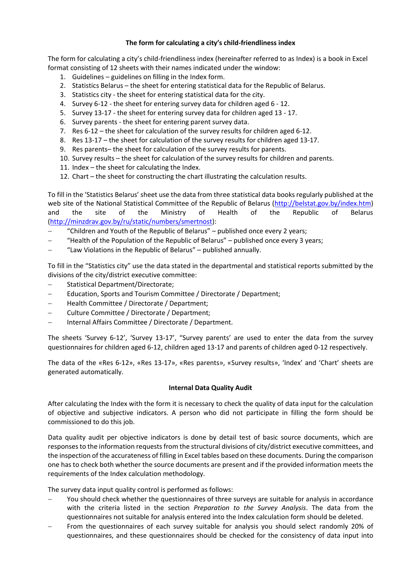### **The form for calculating a city's child-friendliness index**

The form for calculating a city's child-friendliness index (hereinafter referred to as Index) is a book in Excel format consisting of 12 sheets with their names indicated under the window:

- 1. Guidelines guidelines on filling in the Index form.
- 2. Statistics Belarus the sheet for entering statistical data for the Republic of Belarus.
- 3. Statistics city the sheet for entering statistical data for the city.
- 4. Survey 6-12 the sheet for entering survey data for children aged 6 12.
- 5. Survey 13-17 the sheet for entering survey data for children aged 13 17.
- 6. Survey parents the sheet for entering parent survey data.
- 7. Res 6-12 the sheet for calculation of the survey results for children aged 6-12.
- 8. Res 13-17 the sheet for calculation of the survey results for children aged 13-17.
- 9. Res parents– the sheet for calculation of the survey results for parents.
- 10. Survey results the sheet for calculation of the survey results for children and parents.
- 11. Index the sheet for calculating the Index.
- 12. Chart the sheet for constructing the chart illustrating the calculation results.

To fill in the 'Statistics Belarus' sheet use the data from three statistical data books regularly published at the web site of the National Statistical Committee of the Republic of Belarus [\(http://belstat.gov.by/index.htm\)](http://belstat.gov.by/index.htm) and the site of the Ministry of Health of the Republic of Belarus [\(http://minzdrav.gov.by/ru/static/numbers/smertnost\)](http://minzdrav.gov.by/ru/static/numbers/smertnost):

- "Children and Youth of the Republic of Belarus" published once every 2 years;
- "Health of the Population of the Republic of Belarus" published once every 3 years;
- "Law Violations in the Republic of Belarus" published annually.

To fill in the "Statistics city" use the data stated in the departmental and statistical reports submitted by the divisions of the city/district executive committee:

- Statistical Department/Directorate;
- Education, Sports and Tourism Committee / Directorate / Department;
- Health Committee / Directorate / Department;
- Culture Committee / Directorate / Department;
- Internal Affairs Committee / Directorate / Department.

The sheets 'Survey 6-12', 'Survey 13-17', "Survey parents' are used to enter the data from the survey questionnaires for children aged 6-12, children aged 13-17 and parents of children aged 0-12 respectively.

The data of the «Res 6-12», «Res 13-17», «Res parents», «Survey results», 'Index' and 'Chart' sheets are generated automatically.

#### **Internal Data Quality Audit**

After calculating the Index with the form it is necessary to check the quality of data input for the calculation of objective and subjective indicators. A person who did not participate in filling the form should be commissioned to do this job.

Data quality audit per objective indicators is done by detail test of basic source documents, which are responses to the information requests from the structural divisions of city/district executive committees, and the inspection of the accurateness of filling in Excel tables based on these documents. During the comparison one has to check both whether the source documents are present and if the provided information meets the requirements of the Index calculation methodology.

The survey data input quality control is performed as follows:

- You should check whether the questionnaires of three surveys are suitable for analysis in accordance with the criteria listed in the section *Preparation to the Survey Analysis*. The data from the questionnaires not suitable for analysis entered into the Index calculation form should be deleted.
- From the questionnaires of each survey suitable for analysis you should select randomly 20% of questionnaires, and these questionnaires should be checked for the consistency of data input into